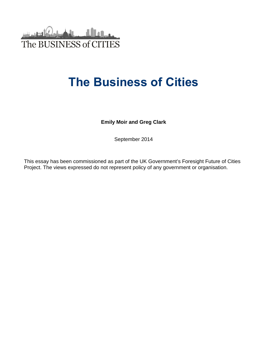

# **The Business of Cities**

**Emily Moir and Greg Clark** 

September 2014

This essay has been commissioned as part of the UK Government's Foresight Future of Cities Project. The views expressed do not represent policy of any government or organisation.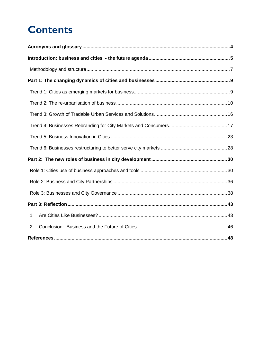# **Contents**

| 1. |  |
|----|--|
| 2. |  |
|    |  |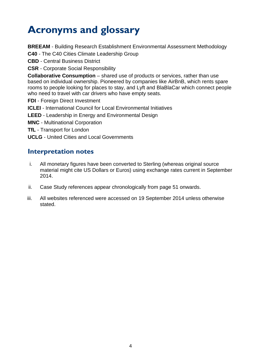# <span id="page-2-0"></span>**Acronyms and glossary**

**BREEAM** - Building Research Establishment Environmental Assessment Methodology

**C40** - The C40 Cities Climate Leadership Group

**CBD** - Central Business District

**CSR** - Corporate Social Responsibility

**Collaborative Consumption** – shared use of products or services, rather than use based on individual ownership. Pioneered by companies like AirBnB, which rents spare rooms to people looking for places to stay, and Lyft and BlaBlaCar which connect people who need to travel with car drivers who have empty seats.

**FDI** - Foreign Direct Investment

**ICLEI** - International Council for Local Environmental Initiatives

**LEED** - Leadership in Energy and Environmental Design

**MNC** - Multinational Corporation

**TfL** - Transport for London

**UCLG** - United Cities and Local Governments

## **Interpretation notes**

- i. All monetary figures have been converted to Sterling (whereas original source material might cite US Dollars or Euros) using exchange rates current in September 2014.
- ii. Case Study references appear chronologically from page 51 onwards.
- iii. All websites referenced were accessed on 19 September 2014 unless otherwise stated.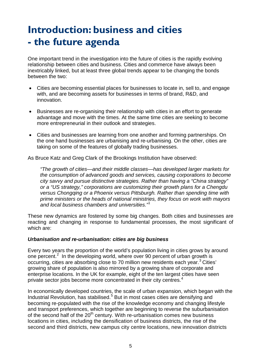# <span id="page-3-0"></span>**Introduction: business and cities - the future agenda**

One important trend in the investigation into the future of cities is the rapidly evolving relationship between cities and business. Cities and commerce have always been inextricably linked, but at least three global trends appear to be changing the bonds between the two:

- Cities are becoming essential places for businesses to locate in, sell to, and engage with, and are becoming assets for businesses in terms of brand, R&D, and innovation.
- Businesses are re-organising their relationship with cities in an effort to generate advantage and move with the times. At the same time cities are seeking to become more entrepreneurial in their outlook and strategies.
- Cities and businesses are learning from one another and forming partnerships. On the one hand businesses are urbanising and re-urbanising. On the other, cities are taking on some of the features of globally trading businesses.

As Bruce Katz and Greg Clark of the Brookings Institution have observed:

*"The growth of cities—and their middle classes—has developed larger markets for the consumption of advanced goods and services, causing corporations to become city savvy and pursue distinctive strategies. Rather than having a "China strategy" or a "US strategy," corporations are customizing their growth plans for a Chengdu versus Chongqing or a Phoenix versus Pittsburgh. Rather than spending time with prime ministers or the heads of national ministries, they focus on work with mayors and local business chambers and universities."*[1](#page-46-1)

These new dynamics are fostered by some big changes. Both cities and businesses are reacting and changing in response to fundamental processes, the most significant of which are:

## *Urbanisation and re-urbanisation: cities are big business*

Every two years the proportion of the world's population living in cities grows by around one percent.<sup>[2](#page-46-2)</sup> In the developing world, where over 90 percent of urban growth is occurring, cities are absorbing close to 70 million new residents each year.<sup>[3](#page-46-3)</sup> Cities' growing share of population is also mirrored by a growing share of corporate and enterprise locations. In the UK for example, eight of the ten largest cities have seen private sector jobs become more concentrated in their city centres.<sup>[4](#page-46-4)</sup>

In economically developed countries, the scale of urban expansion, which began with the Industrial Revolution, has stabilised.<sup>[5](#page-46-5)</sup> But in most cases cities are densifying and becoming re-populated with the rise of the knowledge economy and changing lifestyle and transport preferences, which together are beginning to reverse the suburbanisation of the second half of the  $20<sup>th</sup>$  century. With re-urbanisation comes new business locations in cities, including the densification of business districts, the rise of the second and third districts, new campus city centre locations, new innovation districts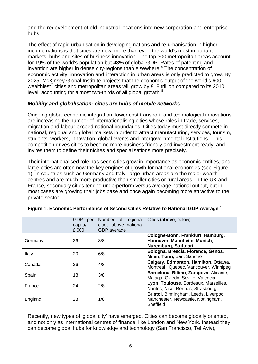and the redevelopment of old industrial locations into new corporation and enterprise hubs.

The effect of rapid urbanisation in developing nations and re-urbanisation in higherincome nations is that cities are now, more than ever, the world's most important markets, hubs and sites of business innovation. The top 300 metropolitan areas account for 19% of the world's population but 48% of global GDP. Rates of patenting and invention are higher in dense city-regions than elsewhere. $6$  The concentration of economic activity, innovation and interaction in urban areas is only predicted to grow. By 2025, McKinsey Global Institute projects that the economic output of the world's 600 wealthiest<sup> $\prime$ </sup> cities and metropolitan areas will grow by £18 trillion compared to its 2010 level, accounting for almost two-thirds of all global growth.<sup>[8](#page-47-2)</sup>

## *Mobility and globalisation: cities are hubs of mobile networks*

Ongoing global economic integration, lower cost transport, and technological innovations are increasing the number of internationalising cities whose roles in trade, services, migration and labour exceed national boundaries. Cities today must directly compete in national, regional and global markets in order to attract manufacturing, services, tourism, students, workers, innovation, global events and intergovernmental institutions. This competition drives cities to become more business friendly and investment ready, and invites them to define their niches and specialisations more precisely.

Their internationalised role has seen cities grow in importance as economic entities, and large cities are often now the key engines of growth for national economies (see Figure 1). In countries such as Germany and Italy, large urban areas are the major wealth centres and are much more productive than smaller cities or rural areas. In the UK and France, secondary cities tend to underperform versus average national output, but in most cases are growing their jobs base and once again becoming more attractive to the private sector.

|         | <b>GDP</b><br>per<br>capita/<br>£'000 | Number of regional<br>cities above national<br>GDP average | Cities (above, below)                                                                           |
|---------|---------------------------------------|------------------------------------------------------------|-------------------------------------------------------------------------------------------------|
| Germany | 26                                    | 8/8                                                        | Cologne-Bonn, Frankfurt, Hamburg,<br>Hannover, Mannheim, Munich,<br><b>Nuremburg, Stuttgart</b> |
| Italy   | 20                                    | 6/8                                                        | Bologna, Brescia, Florence, Genoa,<br>Milan, Turin, Bari, Salerno                               |
| Canada  | 26                                    | 4/8                                                        | Calgary, Edmonton, Hamilton, Ottawa,<br>Montreal, Quebec, Vancouver, Winnipeg                   |
| Spain   | 18                                    | 3/8                                                        | Barcelona, Bilbao, Zaragoza, Alicante,<br>Malaga, Oviedo, Seville, Valencia                     |
| France  | 24                                    | 2/8                                                        | Lyon, Toulouse, Bordeaux, Marseilles,<br>Nantes, Nice, Rennes, Strasbourg                       |
| England | 23                                    | 1/8                                                        | Bristol, Birmingham, Leeds, Liverpool,<br>Manchester, Newcastle, Nottingham,<br>Sheffield       |

## **Figure 1: Economic Performance of Second Cities Relative to National GDP Average***[9](#page-47-3)*

Recently, new types of 'global city' have emerged. Cities can become globally oriented, and not only as international centres of finance, like London and New York. Instead they can become global hubs for knowledge and technology (San Francisco, Tel Aviv),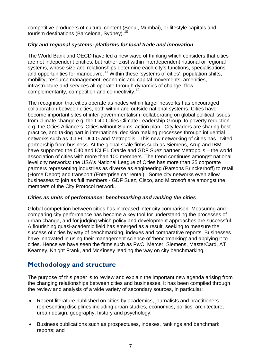competitive producers of cultural content (Seoul, Mumbai), or lifestyle capitals and tourism destinations (Barcelona, Sydney).<sup>[10](#page-48-0)</sup>

## *City and regional systems: platforms for local trade and innovation*

The World Bank and OECD have led a new wave of thinking which considers that cities are not independent entities, but rather exist within interdependent national or regional systems, whose size and relationships determine each city's functions, specialisations and opportunities for manoeuvre.<sup>[11](#page-48-1)</sup> Within these 'systems of cities', population shifts, mobility, resource management, economic and capital movements, amenities, infrastructure and services all operate through dynamics of change, flow, complementarity, competition and connectivity.<sup>1</sup>

The recognition that cities operate as nodes within larger networks has encouraged collaboration between cities, both within and outside national systems. Cities have become important sites of inter-governmentalism, collaborating on global political issues from climate change e.g. the C40 Cities Climate Leadership Group, to poverty reduction e.g. the Cities Alliance's 'Cities without Slums' action plan. City leaders are sharing best practice, and taking part in international decision making processes through influential networks such as ICLEI, UCLG and Metropolis. This new networking of cities has invited partnership from business. At the global scale firms such as Siemens, Arup and IBM have supported the C40 and ICLEI. Oracle and GDF Suez partner Metropolis – the world association of cities with more than 100 members. The trend continues amongst national level city networks: the USA's National League of Cities has more than 35 corporate partners representing industries as diverse as engineering (Parsons Brinckerhoff) to retail (Home Depot) and transport (Enterprise car rental). Some city networks even allow businesses to join as full members - GDF Suez, Cisco, and Microsoft are amongst the members of the City Protocol network.

## *Cities as units of performance: benchmarking and ranking the cities*

Global competition between cities has increased inter-city comparison. Measuring and comparing city performance has become a key tool for understanding the processes of urban change, and for judging which policy and development approaches are successful. A flourishing quasi-academic field has emerged as a result, seeking to measure the success of cities by way of benchmarking, indexes and comparative reports. Businesses have innovated in using their management science of 'benchmarking' and applying it to cities. Hence we have seen the firms such as PwC, Mercer, Siemens, MasterCard, AT Kearney, Knight Frank, and McKinsey leading the way on city benchmarking.

# <span id="page-5-0"></span>**Methodology and structure**

The purpose of this paper is to review and explain the important new agenda arising from the changing relationships between cities and businesses. It has been compiled through the review and analysis of a wide variety of secondary sources, in particular:

- Recent literature published on cities by academics, journalists and practitioners representing disciplines including urban studies, economics, politics, architecture, urban design, geography, history and psychology;
- Business publications such as prospectuses, indexes, rankings and benchmark reports; and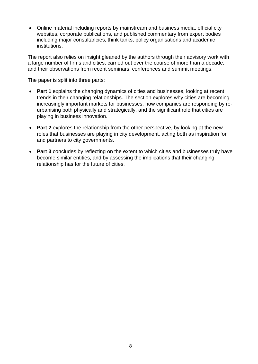• Online material including reports by mainstream and business media, official city websites, corporate publications, and published commentary from expert bodies including major consultancies, think tanks, policy organisations and academic institutions.

The report also relies on insight gleaned by the authors through their advisory work with a large number of firms and cities, carried out over the course of more than a decade, and their observations from recent seminars, conferences and summit meetings.

The paper is split into three parts:

- **Part 1** explains the changing dynamics of cities and businesses, looking at recent trends in their changing relationships. The section explores why cities are becoming increasingly important markets for businesses, how companies are responding by reurbanising both physically and strategically, and the significant role that cities are playing in business innovation.
- **Part 2** explores the relationship from the other perspective, by looking at the new roles that businesses are playing in city development, acting both as inspiration for and partners to city governments.
- **Part 3** concludes by reflecting on the extent to which cities and businesses truly have become similar entities, and by assessing the implications that their changing relationship has for the future of cities.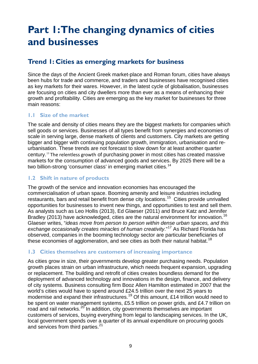# <span id="page-7-0"></span>**Part 1: The changing dynamics of cities and businesses**

# <span id="page-7-1"></span>**Trend 1: Cities as emerging markets for business**

Since the days of the Ancient Greek market-place and Roman forum, cities have always been hubs for trade and commerce, and traders and businesses have recognised cities as key markets for their wares. However, in the latest cycle of globalisation, businesses are focusing on cities and city dwellers more than ever as a means of enhancing their growth and profitability. Cities are emerging as the key market for businesses for three main reasons:

## **1.1 Size of the market**

The scale and density of cities means they are the biggest markets for companies which sell goods or services. Businesses of all types benefit from synergies and economies of scale in serving large, dense markets of clients and customers. City markets are getting bigger and bigger with continuing population growth, immigration, urbanisation and reurbanisation. These trends are not forecast to slow down for at least another quarter century.[13](#page-48-3) The relentless growth of purchasing power in most cities has created massive markets for the consumption of advanced goods and services. By 2025 there will be a two billion-strong 'consumer class' in emerging market cities.<sup>[14](#page-48-4)</sup>

## **1.2 Shift in nature of products**

The growth of the service and innovation economies has encouraged the commercialisation of urban space. Booming amenity and leisure industries including restaurants, bars and retail benefit from dense city locations.[15](#page-48-5) Cities provide unrivalled opportunities for businesses to invent new things, and opportunities to test and sell them. As analysts such as Leo Hollis (2013), Ed Glaeser (2011) and Bruce Katz and Jennifer Bradley (2013) have acknowledged, cities are the natural environment for innovation.<sup>[16](#page-48-6)</sup> Glaeser writes, "*ideas move from person to person within dense urban spaces, and this exchange occasionally creates miracles of human creativity*."[17](#page-48-7) As Richard Florida has observed, companies in the booming technology sector are particular beneficiaries of these economies of agglomeration, and see cities as both their natural habitat.<sup>[18](#page-48-8)</sup>

## **1.3 Cities themselves are customers of increasing importance**

As cities grow in size, their governments develop greater purchasing needs. Population growth places strain on urban infrastructure, which needs frequent expansion, upgrading or replacement. The building and retrofit of cities creates boundless demand for the deployment of advanced technology and innovations in the design, finance, and delivery of city systems. Business consulting firm Booz Allen Hamilton estimated in 2007 that the world's cities would have to spend around £24.5 trillion over the next 25 years to modernise and expand their infrastructures.<sup>[19](#page-48-9)</sup> Of this amount, £14 trillion would need to be spent on water management systems, £5.5 trillion on power grids, and £4.7 trillion on road and rail networks.<sup>[20](#page-48-10)</sup> In addition, city governments themselves are important customers of services, buying everything from legal to landscaping services. In the UK, local government spends over a quarter of its annual expenditure on procuring goods and services from third parties.<sup>21</sup>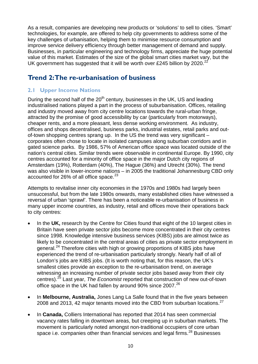As a result, companies are developing new products or 'solutions' to sell to cities. 'Smart' technologies, for example, are offered to help city governments to address some of the key challenges of urbanisation, helping them to minimise resource consumption and improve service delivery efficiency through better management of demand and supply. Businesses, in particular engineering and technology firms, appreciate the huge potential value of this market. Estimates of the size of the global smart cities market vary, but the UK government has suggested that it will be worth over £245 billion by 2020.<sup>[22](#page-49-0)</sup>

## <span id="page-8-0"></span>**Trend 2: The re-urbanisation of business**

## **2.1 Upper Income Nations**

During the second half of the  $20<sup>th</sup>$  century, businesses in the UK, US and leading industrialised nations played a part in the process of suburbanisation. Offices, retailing and industry moved away from city centre locations towards the rural-urban fringe, attracted by the promise of good accessibility by car (particularly from motorways), cheaper rents, and a more pleasant, less dense working environment. As industry, offices and shops decentralised, business parks, industrial estates, retail parks and outof-town shopping centres sprang up. In the US the trend was very significant – corporates often chose to locate in isolated campuses along suburban corridors and in gated science parks. By 1986, 57% of American office space was located outside of the nation's central cities. Similar trends were observable in continental Europe. By 1990, city centres accounted for a minority of office space in the major Dutch city regions of Amsterdam (19%), Rotterdam (40%), The Hague (36%) and Utrecht (30%). The trend was also visible in lower-income nations – in 2005 the traditional Johannesburg CBD only accounted for 26% of all office space. $^{23}$  $^{23}$  $^{23}$ 

Attempts to revitalise inner city economies in the 1970s and 1980s had largely been unsuccessful, but from the late 1980s onwards, many established cities have witnessed a reversal of urban 'sprawl'. There has been a noticeable re-urbanisation of business in many upper income countries, as industry, retail and offices move their operations back to city centres:

- In the **UK,** research by the Centre for Cities found that eight of the 10 largest cities in Britain have seen private sector jobs become more concentrated in their city centres since 1998. Knowledge intensive business services (KIBS) jobs are almost twice as likely to be concentrated in the central areas of cities as private sector employment in general.<sup>[24](#page-49-2)</sup> Therefore cities with high or growing proportions of KIBS jobs have experienced the trend of re-urbanisation particularly strongly. Nearly half of all of London's jobs are KIBS jobs. (It is worth noting that, for this reason, the UK's smallest cities provide an exception to the re-urbanisation trend, on average witnessing an increasing number of private sector jobs based *away* from their city centres).[25](#page-49-3) Last year, *The Economist* reported that construction of new out-of-town office space in the UK had fallen by around 90% since 2007.<sup>26</sup>
- In **Melbourne, Australia,** Jones Lang La Salle found that in the five years between 2008 and 2013, 42 major tenants moved into the CBD from suburban locations.  $27$
- In **Canada,** Colliers International has reported that 2014 has seen commercial vacancy rates falling in downtown areas, but creeping up in suburban markets. The movement is particularly noted amongst non-traditional occupiers of core urban space i.e. companies other than financial services and legal firms.<sup>[28](#page-49-6)</sup> Businesses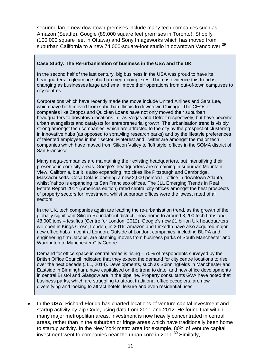securing large new downtown premises include many tech companies such as Amazon (Seattle), Google (89,000 square feet premises in Toronto), Shopify (100,000 square feet in Ottawa) and Sony Imageworks which has moved from suburban California to a new 74,000-square-foot studio in downtown Vancouver.<sup>29</sup>

#### **Case Study: The Re-urbanisation of business in the USA and the UK**

In the second half of the last century, big business in the USA was proud to have its headquarters in gleaming suburban mega-complexes. There is evidence this trend is changing as businesses large and small move their operations from out-of-town campuses to city centres.

Corporations which have recently made the move include United Airlines and Sara Lee, which have both moved from suburban Illinois to downtown Chicago. The CEOs of companies like Zappos and Quicken Loans have not only moved their suburban headquarters to downtown locations in Las Vegas and Detroit respectively, but have become urban evangelists and catalysts for entrepreneurial growth. The urbanisation trend is visibly strong amongst tech companies, which are attracted to the city by the prospect of clustering in innovative hubs (as opposed to sprawling research parks) and by the lifestyle preferences of talented employees in their sector. Pinterest and Twitter are amongst the major tech companies which have moved from Silicon Valley to 'loft style' offices in the SOMA district of San Francisco.

Many mega-companies are maintaining their existing headquarters, but intensifying their presence in core city areas. Google's headquarters are remaining in suburban Mountain View, California, but it is also expanding into cities like Pittsburgh and Cambridge, Massachusetts. Coca Cola is opening a new 2,000 person IT office in downtown Atlanta, whilst Yahoo is expanding its San Francisco offices. The JLL Emerging Trends in Real Estate Report 2014 (Americas edition) rated central city offices amongst the best prospects of property sectors for investment, whilst suburban offices were the lowest rated of all sectors.

In the UK, tech companies again are leading the re-urbanisation trend, as the growth of the globally significant Silicon Roundabout district - now home to around 3,200 tech firms and 48,000 jobs – testifies (Centre for London, 2012). Google's new £1 billion UK headquarters will open in Kings Cross, London, in 2016. Amazon and LinkedIn have also acquired major new office hubs in central London. Outside of London, companies, including BUPA and engineering firm Jacobs, are planning moves from business parks of South Manchester and Warrington to Manchester City Centre.

Demand for office space in central areas is rising – 70% of respondents surveyed by the British Office Council indicated that they expect the demand for city centre locations to rise over the next decade (JLL, 2014). Developments, such as Spinningfields in Manchester and Eastside in Birmingham, have capitalised on the trend to date, and new office developments in central Bristol and Glasgow are in the pipeline. Property consultants GVA have noted that business parks, which are struggling to attract traditional office occupiers, are now diversifying and looking to attract hotels, leisure and even residential uses.

• In the **USA**, Richard Florida has charted locations of venture capital investment and startup activity by Zip Code, using data from 2011 and 2012. He found that within many major metropolitan areas, investment is now heavily concentrated in central areas, rather than in the suburban or fringe areas which have traditionally been home to startup activity. In the New York metro area for example, 80% of venture capital investment went to companies near the urban core in  $2011.^{30}$  $2011.^{30}$  $2011.^{30}$  Similarly,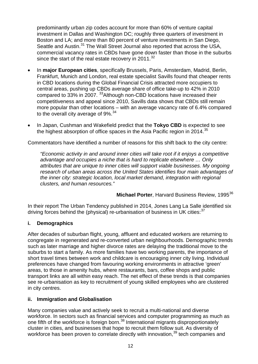predominantly urban zip codes account for more than 60% of venture capital investment in Dallas and Washington DC; roughly three quarters of investment in Boston and LA; and more than 80 percent of venture investments in San Diego, Seattle and Austin.<sup>[31](#page-51-0)</sup> The Wall Street Journal also reported that across the USA, commercial vacancy rates in CBDs have gone down faster than those in the suburbs since the start of the real estate recovery in 2011.<sup>[32](#page-51-1)</sup>

- In **major European cities**, specifically Brussels, Paris, Amsterdam, Madrid, Berlin, Frankfurt, Munich and London, real estate specialist Savills found that cheaper rents in CBD locations during the Global Financial Crisis attracted more occupiers to central areas, pushing up CBDs average share of office take-up to 42% in 2010 compared to [33](#page-51-2)% in 2007. <sup>33</sup> Although non-CBD locations have increased their competitiveness and appeal since 2010, Savills data shows that CBDs still remain more popular than other locations – with an average vacancy rate of 6.4% compared to the overall city average of  $9\%$ .<sup>34</sup>
- In Japan, Cushman and Wakefield predict that the **Tokyo CBD** is expected to see the highest absorption of office spaces in the Asia Pacific region in 2014.<sup>[35](#page-51-4)</sup>

Commentators have identified a number of reasons for this shift back to the city centre:

*"Economic activity in and around inner cities will take root if it enjoys a competitive advantage and occupies a niche that is hard to replicate elsewhere … Only attributes that are unique to inner cities will support viable businesses. My ongoing research of urban areas across the United States identifies four main advantages of the inner city: strategic location, local market demand, integration with regional clusters, and human resources."*

**Michael Porter, Harvard Business Review, 1995<sup>[36](#page-51-5)</sup>** 

In their report The Urban Tendency published in 2014, Jones Lang La Salle identified six driving forces behind the (physical) re-urbanisation of business in UK cities: $37$ 

## **i. Demographics**

After decades of suburban flight, young, affluent and educated workers are returning to congregate in regenerated and re-converted urban neighbourhoods. Demographic trends such as later marriage and higher divorce rates are delaying the traditional move to the suburbs to start a family. As more families have two working parents, the importance of short travel times between work and childcare is encouraging inner city living. Individual preferences have changed from favouring working environments in attractive 'green' areas, to those in amenity hubs, where restaurants, bars, coffee shops and public transport links are all within easy reach. The net effect of these trends is that companies see re-urbanisation as key to recruitment of young skilled employees who are clustered in city centres.

## **ii. Immigration and Globalisation**

Many companies value and actively seek to recruit a multi-national and diverse workforce. In sectors such as financial services and computer programming as much as one fifth of the workforce is foreign born.<sup>[38](#page-51-7)</sup> International migrants disproportionately cluster in cities, and businesses that hope to recruit them follow suit. As diversity of workforce has been proven to correlate directly with innovation,<sup>[39](#page-51-8)</sup> tech companies and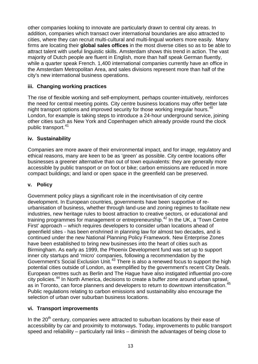other companies looking to innovate are particularly drawn to central city areas. In addition, companies which transact over international boundaries are also attracted to cities, where they can recruit multi-cultural and multi-lingual workers more easily. Many firms are locating their **global sales offices** in the most diverse cities so as to be able to attract talent with useful linguistic skills. Amsterdam shows this trend in action. The vast majority of Dutch people are fluent in English, more than half speak German fluently, while a quarter speak French. 1,400 international companies currently have an office in the Amsterdam Metropolitan Area, and sales divisions represent more than half of the city's new international business operations.

## **iii. Changing working practices**

The rise of flexible working and self-employment, perhaps counter-intuitively, reinforces the need for central meeting points. City centre business locations may offer better late night transport options and improved security for those working irregular hours.<sup>[40](#page-52-0)</sup> London, for example is taking steps to introduce a 24-hour underground service, joining other cities such as New York and Copenhagen which already provide round the clock public transport.<sup>41</sup>

## **iv. Sustainability**

Companies are more aware of their environmental impact, and for image, regulatory and ethical reasons, many are keen to be as 'green' as possible. City centre locations offer businesses a greener alternative than out of town equivalents: they are generally more accessible by public transport or on foot or bike; carbon emissions are reduced in more compact buildings; and land or open space in the greenfield can be preserved.

## **v. Policy**

Government policy plays a significant role in the incentivisation of city centre development. In European countries, governments have been supportive of reurbanisation of business, whether through land-use and zoning regimes to facilitate new industries, new heritage rules to boost attraction to creative sectors, or educational and training programmes for management or entrepreneurship.<sup>[42](#page-52-2)</sup> In the UK, a 'Town Centre' First' approach – which requires developers to consider urban locations ahead of greenfield sites - has been enshrined in planning law for almost two decades, and is continued under the new National Planning Policy Framework. New Enterprise Zones have been established to bring new businesses into the heart of cities such as Birmingham. As early as 1999, the Phoenix Development fund was set up to support inner city startups and 'micro' companies, following a recommendation by the Government's Social Exclusion Unit.<sup>[43](#page-52-3)</sup> There is also a renewed focus to support the high potential cities outside of London, as exemplified by the government's recent City Deals. European centres such as Berlin and The Hague have also instigated influential pro-core city policies.[44](#page-52-4) In North America, decisions to create a buffer zone around urban sprawl, as in Toronto, can force planners and developers to return to downtown intensification.<sup>[45](#page-52-5)</sup> Public regulations relating to carbon emissions and sustainability also encourage the selection of urban over suburban business locations.

## **vi. Transport improvements**

In the  $20<sup>th</sup>$  century, companies were attracted to suburban locations by their ease of accessibility by car and proximity to motorways. Today, improvements to public transport speed and reliability – particularly rail links – diminish the advantages of being close to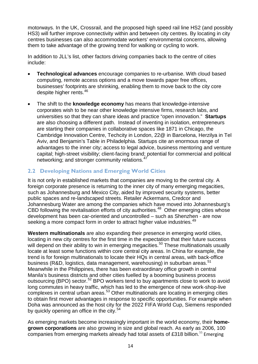motorways. In the UK, Crossrail, and the proposed high speed rail line HS2 (and possibly HS3) will further improve connectivity within and between city centres. By locating in city centres businesses can also accommodate workers' environmental concerns, allowing them to take advantage of the growing trend for walking or cycling to work.

In addition to JLL's list, other factors driving companies back to the centre of cities include:

- **Technological advances** encourage companies to re-urbanise. With cloud based computing, remote access options and a move towards paper free offices, businesses' footprints are shrinking, enabling them to move back to the city core despite higher rents.<sup>[46](#page-53-0)</sup>
- The shift to the **knowledge economy** has means that knowledge-intensive corporates wish to be near other knowledge intensive firms, research labs, and universities so that they can share ideas and practice "open innovation." **Startups** are also choosing a different path. Instead of inventing in isolation, entrepreneurs are starting their companies in collaborative spaces like 1871 in Chicago, the Cambridge Innovation Centre, Techcity in London, 22@ in Barcelona, Herzilya in Tel Aviv, and Benjamin's Table in Philadelphia. Startups cite an enormous range of advantages to the inner city; access to legal advice, business mentoring and venture capital; high-street visibility; client-facing brand; potential for commercial and political networking; and stronger community relations.<sup>[47](#page-53-1)</sup>

## **2.2 Developing Nations and Emerging World Cities**

It is not only in established markets that companies are moving to the central city. A foreign corporate presence is returning to the inner city of many emerging megacities, such as Johannesburg and Mexico City, aided by improved security systems, better public spaces and re-landscaped streets. Retailer Ackermans, Credcor and Johannesburg Water are among the companies which have moved into Johannesburg's CBD following the revitalisation efforts of city authorities.<sup>[48](#page-53-2)</sup> Other emerging cities whose development has been car-oriented and uncontrolled – such as Shenzhen - are now seeking a more compact form in order to attract higher value industries.<sup>[49](#page-53-3)</sup>

**Western multinationals** are also expanding their presence in emerging world cities, locating in new city centres for the first time in the expectation that their future success will depend on their ability to win in emerging megacities.<sup>[50](#page-53-4)</sup> These multinationals usually locate at least some functions within core central city areas. In China for example, the trend is for foreign multinationals to locate their HQs in central areas, with back-office business (R&D, logistics, data management, warehousing) in suburban areas.<sup>[51](#page-53-5)</sup> Meanwhile in the Philippines, there has been extraordinary office growth in central Manila's business districts and other cities fuelled by a booming business process outsourcing (BPO) sector.<sup>[52](#page-53-6)</sup> BPO workers tend to buy apartments close to work to avoid long commutes in heavy traffic, which has led to the emergence of new work-shop-live complexes in central urban areas.<sup>[53](#page-53-7)</sup> Other multinationals are locating in emerging cities to obtain first mover advantages in response to specific opportunities. For example when Doha was announced as the host city for the 2022 FIFA World Cup, Siemens responded by quickly opening an office in the city.<sup>[54](#page-53-8)</sup>

As emerging markets become increasingly important in the world economy, their **homegrown corporations** are also growing in size and global reach. As early as 2006, 100 companies from emerging markets already had total assets of £318 billion.<sup>[55](#page-53-9)</sup> Emerging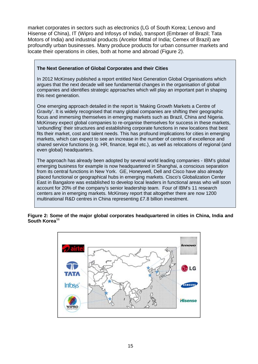market corporates in sectors such as electronics (LG of South Korea; Lenovo and Hisense of China), IT (Wipro and Infosys of India), transport (Embraer of Brazil; Tata Motors of India) and industrial products (Arcelor Mittal of India; Cemex of Brazil) are profoundly urban businesses. Many produce products for urban consumer markets and locate their operations in cities, both at home and abroad (Figure 2).

## **The Next Generation of Global Corporates and their Cities**

In 2012 McKinsey published a report entitled Next Generation Global Organisations which argues that the next decade will see fundamental changes in the organisation of global companies and identifies strategic approaches which will play an important part in shaping this next generation.

One emerging approach detailed in the report is 'Making Growth Markets a Centre of Gravity'. It is widely recognised that many global companies are shifting their geographic focus and immersing themselves in emerging markets such as Brazil, China and Nigeria. McKinsey expect global companies to re-organise themselves for success in these markets, 'unbundling' their structures and establishing corporate functions in new locations that best fits their market, cost and talent needs. This has profound implications for cities in emerging markets, which can expect to see an increase in the number of centres of excellence and shared service functions (e.g. HR, finance, legal etc.), as well as relocations of regional (and even global) headquarters.

The approach has already been adopted by several world leading companies - IBM's global emerging business for example is now headquartered in Shanghai, a conscious separation from its central functions in New York. GE, Honeywell, Dell and Cisco have also already placed functional or geographical hubs in emerging markets. Cisco's Globalization Center East in Bangalore was established to develop local leaders in functional areas who will soon account for 20% of the company's senior leadership team. Four of IBM's 11 research centers are in emerging markets. McKinsey report that altogether there are now 1200 multinational R&D centres in China representing £7.8 billion investment.

#### **Figure 2: Some of the major global corporates headquartered in cities in China, India and South Korea**[56](#page-54-0)

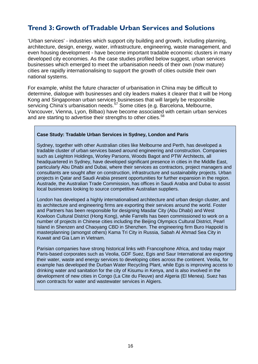## <span id="page-14-0"></span>**Trend 3: Growth of Tradable Urban Services and Solutions**

'Urban services' - industries which support city building and growth, including planning, architecture, design, energy, water, infrastructure, engineering, waste management, and even housing development - have become important tradable economic clusters in many developed city economies. As the case studies profiled below suggest, urban services businesses which emerged to meet the urbanisation needs of their own (now mature) cities are rapidly internationalising to support the growth of cities outside their own national systems.

For example, whilst the future character of urbanisation in China may be difficult to determine, dialogue with businesses and city leaders makes it clearer that it will be Hong Kong and Singaporean urban services businesses that will largely be responsible servicing China's urbanisation needs.<sup>[57](#page-55-0)</sup> Some cities (e.g. Barcelona, Melbourne, Vancouver, Vienna, Lyon, Bilbao) have become associated with certain urban services and are starting to advertise their strengths to other cities.<sup>58</sup>

#### **Case Study: Tradable Urban Services in Sydney, London and Paris**

Sydney, together with other Australian cities like Melbourne and Perth, has developed a tradable cluster of urban services based around engineering and construction. Companies such as Leighton Holdings, Worley Parsons, Woods Bagot and PTW Architects, all headquartered in Sydney, have developed significant presence in cities in the Middle East, particularly Abu Dhabi and Dubai, where their services as contractors, project managers and consultants are sought after on construction, infrastructure and sustainability projects. Urban projects in Qatar and Saudi Arabia present opportunities for further expansion in the region. Austrade, the Australian Trade Commission, has offices in Saudi Arabia and Dubai to assist local businesses looking to source competitive Australian suppliers.

London has developed a highly internationalised architecture and urban design cluster, and its architecture and engineering firms are exporting their services around the world. Foster and Partners has been responsible for designing Masdar City (Abu Dhabi) and West Kowloon Cultural District (Hong Kong), while Farrells has been commissioned to work on a number of projects in Chinese cities including the Beijing Olympics Cultural District, Pearl Island in Shenzen and Chaoyang CBD in Shenzhen. The engineering firm Buro Happold is masterplanning (amongst others) Kama Tri City in Russia, Sabah Al Ahmad Sea City in Kuwait and Gia Lam in Vietnam.

Parisian companies have strong historical links with Francophone Africa, and today major Paris-based corporates such as Veolia, GDF Suez, Egis and Saur International are exporting their water, waste and energy services to developing cities across the continent. Veolia, for example has developed the Durban Water Recycling Plant, while Egis is improving access to drinking water and sanitation for the city of Kisumu in Kenya, and is also involved in the development of new cities in Congo (La Cite du Fleuve) and Algeria (El Menea). Suez has won contracts for water and wastewater services in Algiers.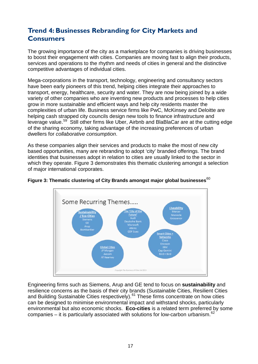# <span id="page-15-0"></span>**Trend 4: Businesses Rebranding for City Markets and Consumers**

The growing importance of the city as a marketplace for companies is driving businesses to boost their engagement with cities. Companies are moving fast to align their products, services and operations to the rhythm and needs of cities in general and the distinctive competitive advantages of individual cities.

Mega-corporations in the transport, technology, engineering and consultancy sectors have been early pioneers of this trend, helping cities integrate their approaches to transport, energy, healthcare, security and water. They are now being joined by a wide variety of other companies who are inventing new products and processes to help cities grow in more sustainable and efficient ways and help city residents master the complexities of urban life. Business service firms like PwC, McKinsey and Deloitte are helping cash strapped city councils design new tools to finance infrastructure and leverage value.<sup>59</sup> Still other firms like Uber, Airbnb and BlaBlaCar are at the cutting edge of the sharing economy, taking advantage of the increasing preferences of urban dwellers for *collaborative consumption*.

As these companies align their services and products to make the most of new city based opportunities, many are rebranding to adopt 'city' branded offerings. The brand identities that businesses adopt in relation to cities are usually linked to the sector in which they operate. Figure 3 demonstrates this thematic clustering amongst a selection of major international corporates.



# **Figure 3: Thematic clustering of City Brands amongst major global businesses**[60](#page-55-3)

Engineering firms such as Siemens, Arup and GE tend to focus on **sustainability** and resilience concerns as the basis of their city brands (Sustainable Cities, Resilient Cities and Building Sustainable Cities respectively).<sup>[61](#page-55-4)</sup> These firms concentrate on how cities can be designed to minimise environmental impact and withstand shocks, particularly environmental but also economic shocks. **Eco-cities** is a related term preferred by some companies – it is particularly associated with solutions for low-carbon urbanism. $62$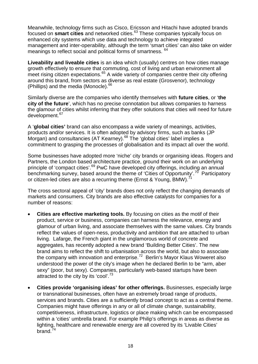Meanwhile, technology firms such as Cisco, Ericsson and Hitachi have adopted brands focused on **smart cities** and networked cities.[63](#page-56-0) These companies typically focus on enhanced city systems which use data and technology to achieve integrated management and inter-operability, although the term 'smart cities' can also take on wider meanings to reflect social and political forms of smartness. <sup>64</sup>

**Liveability and liveable cities** is an idea which (usually) centres on how cities manage growth effectively to ensure that commuting, cost of living and urban environment all meet rising citizen expectations.<sup>[65](#page-56-2)</sup> A wide variety of companies centre their city offering around this brand, from sectors as diverse as real estate (Grosvenor), technology (Phillips) and the media (Monocle). $66$ 

Similarly diverse are the companies who identify themselves with **future cities**, or '**the city of the future**', which has no precise connotation but allows companies to harness the glamour of cities whilst inferring that they offer solutions that cities will need for future development.<sup>67</sup>

A '**global cities'** brand can also encompass a wide variety of meanings, activities, products and/or services. It is often adopted by advisory firms, such as banks (JP Morgan) and consultancies (AT Kearney).<sup>[68](#page-56-5)</sup> The 'global cities' label implies a commitment to grasping the processes of globalisation and its impact all over the world.

Some businesses have adopted more 'niche' city brands or organising ideas. Rogers and Partners, the London based architecture practice, ground their work on an underlying principle of 'compact cities'.<sup>[69](#page-56-6)</sup> PwC have developed city offerings, including an annual benchmarking survey, based around the theme of 'Cities of Opportunity'.<sup>[70](#page-56-7)</sup> Participatory or citizen-led cities are also a recurring theme (Ernst & Young, BMW).

The cross sectoral appeal of 'city' brands does not only reflect the changing demands of markets and consumers. City brands are also effective catalysts for companies for a number of reasons:

- **Cities are effective marketing tools.** By focusing on cities as the motif of their product, service or business, companies can harness the relevance, energy and glamour of urban living, and associate themselves with the same values. City brands reflect the values of open-ness, productivity and ambition that are attached to urban living. Lafarge, the French giant in the unglamorous world of concrete and aggregates, has recently adopted a new brand 'Building Better Cities'. The new brand aims to reflect the shift to urbanisation across the world, but also to associate the company with innovation and enterprise.<sup>[72](#page-56-9)</sup> Berlin's Mayor Klaus Woweret also understood the power of the city's image when he declared Berlin to be "arm, aber sexy" (poor, but sexy). Companies, particularly web-based startups have been attracted to the city by its 'cool'.<sup>[73](#page-56-10)</sup>
- **Cities provide 'organising ideas' for other offerings.** Businesses, especially large or transnational businesses, often have an extremely broad range of products, services and brands. Cities are a sufficiently broad concept to act as a central theme. Companies might have offerings in any or all of climate change, sustainability, competitiveness, infrastructure, logistics or place making which can be encompassed within a 'cities' umbrella brand. For example Philip's offerings in areas as diverse as lighting, healthcare and renewable energy are all covered by its 'Livable Cities'  $bra{6}^{74}$  $bra{6}^{74}$  $bra{6}^{74}$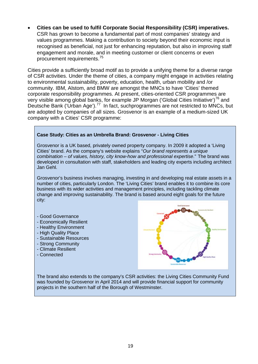• **Cities can be used to fulfil Corporate Social Responsibility (CSR) imperatives.**  CSR has grown to become a fundamental part of most companies' strategy and values programmes. Making a contribution to society beyond their economic input is recognised as beneficial, not just for enhancing reputation, but also in improving staff engagement and morale, and in meeting customer or client concerns or even procurement requirements.[75](#page-57-0)

Cities provide a sufficiently broad motif as to provide a unifying theme for a diverse range of CSR activities. Under the theme of cities, a company might engage in activities relating to environmental sustainability, poverty, education, health, urban mobility and /or community. IBM, Alstom, and BMW are amongst the MNCs to have 'Cities' themed corporate responsibility programmes. At present, cities-oriented CSR programmes are very visible among global banks, for example JP Morgan ('Global Cities Initiative')<sup>[76](#page-57-1)</sup> and Deutsche Bank ('Urban Age').<sup>[77](#page-57-2)</sup> In fact, suchprogrammes are not restricted to MNCs, but are adopted by companies of all sizes. Grosvenor is an example of a medium-sized UK company with a Cities' CSR programme:

#### **Case Study: Cities as an Umbrella Brand: Grosvenor - Living Cities**

Grosvenor is a UK based, privately owned property company. In 2009 it adopted a 'Living Cities' brand. As the company's website explains "*Our brand represents a unique combination – of values, history, city know-how and professional expertise*." The brand was developed in consultation with staff, stakeholders and leading city experts including architect Jan Gehl.

Grosvenor's business involves managing, investing in and developing real estate assets in a number of cities, particularly London. The 'Living Cities' brand enables it to combine its core business with its wider activities and management principles, including tackling climate change and improving sustainability. The brand is based around eight goals for the future city:

- Good Governance
- Economically Resilient
- Healthy Environment
- High Quality Place
- Sustainable Resources
- Strong Community
- Climate Resilient
- Connected



The brand also extends to the company's CSR activities: the Living Cities Community Fund was founded by Grosvenor in April 2014 and will provide financial support for community projects in the southern half of the Borough of Westminster.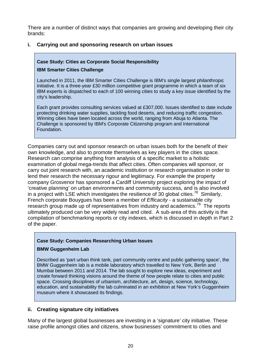There are a number of distinct ways that companies are growing and developing their city brands:

## **i. Carrying out and sponsoring research on urban issues**

## **Case Study: Cities as Corporate Social Responsibility**

#### **IBM Smarter Cities Challenge**

Launched in 2011, the IBM Smarter Cities Challenge is IBM's single largest philanthropic initiative. It is a three-year £30 million competitive grant programme in which a team of six IBM experts is dispatched to each of 100 winning cities to study a key issue identified by the city's leadership.

Each grant provides consulting services valued at £307,000. Issues identified to date include protecting drinking water supplies, tackling food deserts, and reducing traffic congestion. Winning cities have been located across the world, ranging from Abuja to Atlanta. The Challenge is sponsored by IBM's Corporate Citizenship program and International Foundation.

Companies carry out and sponsor research on urban issues both for the benefit of their own knowledge, and also to promote themselves as key players in the cities space. Research can comprise anything from analysis of a specific market to a holistic examination of global mega-trends that affect cities. Often companies will sponsor, or carry out joint research with, an academic institution or research organisation in order to lend their research the necessary rigour and legitimacy. For example the property company Grosvenor has sponsored a Cardiff University project exploring the impact of 'creative planning' on urban environments and community success, and is also involved in a project with LSE which investigates the resilience of 30 global cities.<sup>[78](#page-57-3)</sup> Similarly, French corporate Bouygues has been a member of *Efficacity* - a sustainable city research group made up of representatives from industry and academics.<sup>[79](#page-57-4)</sup> The reports ultimately produced can be very widely read and cited. A sub-area of this activity is the compilation of benchmarking reports or city indexes, which is discussed in depth in Part 2 of the paper.

## **Case Study: Companies Researching Urban Issues**

## **BMW Guggenheim Lab**

Described as 'part urban think tank, part community centre and public gathering space', the BMW Guggenheim lab is a mobile laboratory which travelled to New York, Berlin and Mumbai between 2011 and 2014. The lab sought to explore new ideas, experiment and create forward thinking visions around the theme of how people relate to cities and public space. Crossing disciplines of urbanism, architecture, art, design, science, technology, education, and sustainability the lab culminated in an exhibition at New York's Guggenheim museum where it showcased its findings.

## **ii. Creating signature city initiatives**

Many of the largest global businesses are investing in a 'signature' city initiative. These raise profile amongst cities and citizens, show businesses' commitment to cities and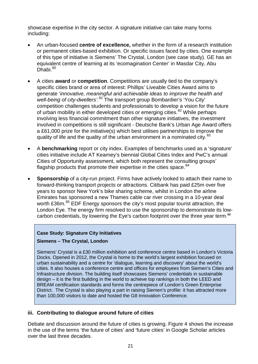showcase expertise in the city sector. A signature initiative can take many forms including:

- An urban-focused **centre of excellence,** whether in the form of a research institution or permanent cities-based exhibition. Or specific issues faced by cities. One example of this type of initiative is Siemens' The Crystal, London (see case study). GE has an equivalent centre of learning at its 'ecomagination Center' in Masdar City, Abu Dhabi.<sup>[80](#page-57-5)</sup>
- A cities **award** or **competition**. Competitions are usually tied to the company's specific cities brand or area of interest: Phillips' Liveable Cities Award aims to generate '*innovative, meaningful and achievable ideas to improve the health and well-being of city-dwellers'.[81](#page-57-6)* The transport group Bombardier's 'You City' competition challenges students and professionals to develop a vision for the future of urban mobility in either developed cities or emerging cities.<sup>[82](#page-57-7)</sup> While perhaps involving less financial commitment than other signature initiatives, the investment involved in competitions is still significant - Deutsche Bank's Urban Age Award offers a £61,000 prize for the initiative(s) which best utilises partnerships to improve the quality of life and the quality of the urban environment in a nominated city.<sup>[83](#page-57-8)</sup>
- A **benchmarking** report or city index. Examples of benchmarks used as a 'signature' cities initiative include AT Kearney's biennial Global Cities Index and PwC's annual Cities of Opportunity assessment, which both represent the consulting groups' flagship products that promote their expertise in the cities space. $84$
- **Sponsorship** of a city-run project. Firms have actively looked to attach their name to forward-thinking transport projects or attractions. Citibank has paid £25m over five years to sponsor New York's bike sharing scheme, whilst in London the airline Emirates has sponsored a new Thames cable car river crossing in a 10-year deal worth £36m.<sup>[85](#page-57-10)</sup> EDF Energy sponsors the city's most popular tourist attraction, the London Eye. The energy firm resolved to use the sponsorship to demonstrate its lowcarbon credentials, by lowering the Eye's carbon footprint over the three year term.**[86](#page-57-11)**

## **Case Study: Signature City Initiatives**

## **Siemens – The Crystal, London**

Siemens' Crystal is a £30 million exhibition and conference centre based in London's Victoria Docks. Opened in 2012, the Crystal is home to the world's largest exhibition focused on urban sustainability and a centre for 'dialogue, learning and discovery' about the world's cities. It also houses a conference centre and offices for employees from Siemen's Cities and Infrastructure division. The building itself showcases Siemens' credentials in sustainable design – it is the first building in the world to achieve top rankings in both the LEED and BREAM certification standards and forms the centrepiece of London's Green Enterprise District. The Crystal is also playing a part in raising Siemen's profile: it has attracted more than 100,000 visitors to date and hosted the G8 Innovation Conference.

## **iii. Contributing to dialogue around future of cities**

Debate and discussion around the future of cities is growing. Figure 4 shows the increase in the use of the terms 'the future of cities' and 'future cities' in Google Scholar articles over the last three decades.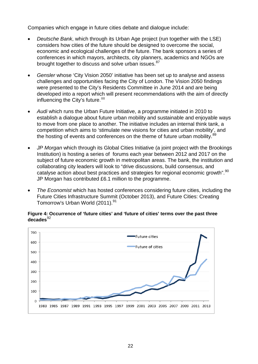Companies which engage in future cities debate and dialogue include:

- *Deutsche Bank*, which through its Urban Age project (run together with the LSE) considers how cities of the future should be designed to overcome the social, economic and ecological challenges of the future. The bank sponsors a series of conferences in which mayors, architects, city planners, academics and NGOs are brought together to discuss and solve urban issues.<sup>[87](#page-57-12)</sup>
- *Gensler* whose 'City Vision 2050' initiative has been set up to analyse and assess challenges and opportunities facing the City of London. The Vision 2050 findings were presented to the City's Residents Committee in June 2014 and are being developed into a report which will present recommendations with the aim of directly influencing the City's future. [88](#page-57-13)
- *Audi* which runs the Urban Future Initiative, a programme initiated in 2010 to establish a dialogue about future urban mobility and sustainable and enjoyable ways to move from one place to another. The initiative includes an internal think tank, a competition which aims to 'stimulate new visions for cities and urban mobility', and the hosting of events and conferences on the theme of future urban mobility.<sup>[89](#page-57-14)</sup>
- *JP Morgan* which through its Global Cities Initiative (a joint project with the Brookings Institution) is hosting a series of forums each year between 2012 and 2017 on the subject of future economic growth in metropolitan areas. The bank, the institution and collaborating city leaders will look to "drive discussions, build consensus, and catalyse action about best practices and strategies for regional economic growth".<sup>[90](#page-57-15)</sup> JP Morgan has contributed £6.1 million to the programme.
- *The Economist* which has hosted conferences considering future cities, including the Future Cities Infrastructure Summit (October 2013), and Future Cities: Creating Tomorrow's Urban World (2011).<sup>[91](#page-57-16)</sup>

#### **Figure 4: Occurrence of 'future cities' and 'future of cities' terms over the past three**  decades<sup>[92](#page-57-17)</sup>

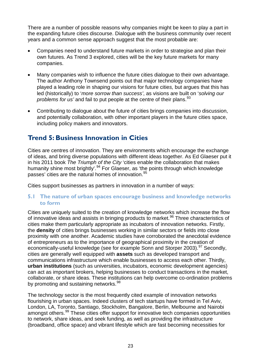There are a number of possible reasons why companies might be keen to play a part in the expanding future cities discourse. Dialogue with the business community over recent years and a common sense approach suggest that the most probable are:

- Companies need to understand future markets in order to strategise and plan their own futures. As Trend 3 explored, cities will be the key future markets for many companies.
- Many companies wish to influence the future cities dialogue to their own advantage. The author Anthony Townsend points out that major technology companies have played a leading role in shaping our visions for future citie*s,* but argues that this has led (historically) to '*more sorrow than success'*, as visions are built on '*solving our problems for us'* and fail to put people at the centre of their plans.<sup>[93](#page-57-18)</sup>
- Contributing to dialogue about the future of cities brings companies into discussion, and potentially collaboration, with other important players in the future cities space, including policy makers and innovators.

## <span id="page-21-0"></span>**Trend 5: Business Innovation in Cities**

Cities are centres of innovation. They are environments which encourage the exchange of ideas, and bring diverse populations with different ideas together. As Ed Glaeser put it in his 2011 book *The Triumph of the City* 'cities enable the collaboration that makes humanity shine most brightly'.<sup>[94](#page-57-19)</sup> For Glaeser, as 'the points through which knowledge passes' cities are the natural homes of innovation.<sup>95</sup>

Cities support businesses as partners in innovation in a number of ways:

## **5.1 The nature of urban spaces encourage business and knowledge networks to form**

Cities are uniquely suited to the creation of knowledge networks which increase the flow of innovative ideas and assists in bringing products to market.<sup>[96](#page-57-21)</sup> Three characteristics of cities make them particularly appropriate as incubators of innovation networks. Firstly, the **density** of cities brings businesses working in similar sectors or fields into close proximity with one another. Academic studies have corroborated the anecdotal evidence of entrepreneurs as to the importance of geographical proximity in the creation of economically-useful knowledge (see for example Sonn and Storper 2003).<sup>[97](#page-57-22)</sup> Secondly, cities are generally well equipped with **assets** such as developed transport and communications infrastructure which enable businesses to access each other. Thirdly, **urban institutions** (such as universities, incubators, economic development agencies) can act as important brokers, helping businesses to conduct transactions in the market, collaborate, or share ideas. These institutions can help overcome co-ordination problems by promoting and sustaining networks.<sup>[98](#page-57-23)</sup>

The technology sector is the most frequently cited example of innovation networks flourishing in urban spaces. Indeed clusters of tech startups have formed in Tel Aviv, London, LA, Toronto, Santiago, Stockholm, Bangalore, Berlin, Melbourne and Nairobi amongst others.<sup>[99](#page-57-24)</sup> These cities offer support for innovative tech companies opportunities to network, share ideas, and seek funding, as well as providing the infrastructure (broadband, office space) and vibrant lifestyle which are fast becoming necessities for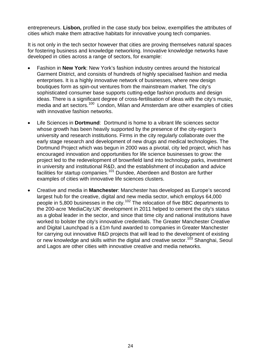entrepreneurs. **Lisbon,** profiled in the case study box below, exemplifies the attributes of cities which make them attractive habitats for innovative young tech companies.

It is not only in the tech sector however that cities are proving themselves natural spaces for fostering business and knowledge networking. Innovative knowledge networks have developed in cities across a range of sectors, for example:

- Fashion in **New York**: New York's fashion industry centres around the historical Garment District, and consists of hundreds of highly specialised fashion and media enterprises. It is a highly innovative network of businesses, where new design boutiques form as spin-out ventures from the mainstream market. The city's sophisticated consumer base supports cutting-edge fashion products and design ideas. There is a significant degree of cross-fertilisation of ideas with the city's music, media and art sectors.<sup>100</sup> London, Milan and Amsterdam are other examples of cities with innovative fashion networks.
- Life Sciences in **Dortmund**: Dortmund is home to a vibrant life sciences sector whose growth has been heavily supported by the presence of the city-region's university and research institutions. Firms in the city regularly collaborate over the early stage research and development of new drugs and medical technologies. The Dortmund Project which was begun in 2000 was a pivotal, city led project, which has encouraged innovation and opportunities for life science businesses to grow: the project led to the redevelopment of brownfield land into technology parks, investment in university and institutional R&D, and the establishment of incubation and advice facilities for startup companies.<sup>[101](#page-57-26)</sup> Dundee, Aberdeen and Boston are further examples of cities with innovative life sciences clusters.
- Creative and media in **Manchester**: Manchester has developed as Europe's second largest hub for the creative, digital and new media sector, which employs 64,000 people in 5,800 businesses in the city.[102](#page-57-27) The relocation of five BBC departments to the 200-acre 'MediaCity:UK' development in 2011 helped to cement the city's status as a global leader in the sector, and since that time city and national institutions have worked to bolster the city's innovative credentials. The Greater Manchester Creative and Digital Launchpad is a £1m fund awarded to companies in Greater Manchester for carrying out innovative R&D projects that will lead to the development of existing or new knowledge and skills within the digital and creative sector.<sup>[103](#page-57-1)</sup> Shanghai, Seoul and Lagos are other cities with innovative creative and media networks.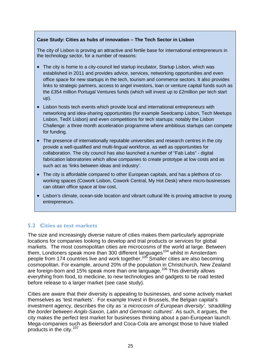## **Case Study: Cities as hubs of innovation – The Tech Sector in Lisbon**

The city of Lisbon is proving an attractive and fertile base for international entrepreneurs in the technology sector, for a number of reasons:

- The city is home to a city-council led startup incubator, Startup Lisbon, which was established in 2011 and provides advice, services, networking opportunities and even office space for new startups in the tech, tourism and commerce sectors. It also provides links to strategic partners, access to angel investors, loan or venture capital funds such as the £354 million Portugal Ventures funds (which will invest up to £2million per tech start up).
- Lisbon hosts tech events which provide local and international entrepreneurs with networking and idea-sharing opportunities (for example Seedcamp Lisbon, Tech Meetups Lisbon, TedX Lisbon) and even competitions for tech startups: notably the Lisbon Challenge: a three month acceleration programme where ambitious startups can compete for funding.
- The presence of internationally reputable universities and research centres in the city provide a well-qualified and multi-lingual workforce, as well as opportunities for collaboration. The city council has also launched a number of "Fab Labs" - digital fabrication laboratories which allow companies to create prototype at low costs and as such act as 'links between ideas and industry'.
- The city is affordable compared to other European capitals, and has a plethora of coworking spaces (Cowork Lisbon, Cowork Central, My Hot Desk) where micro-businesses can obtain office space at low cost.
- Lisbon's climate, ocean-side location and vibrant cultural life is proving attractive to young entrepreneurs.

## **5.2 Cities as test markets**

The size and increasingly diverse nature of cities makes them particularly appropriate locations for companies looking to develop and trial products or services for global markets. The most cosmopolitan cities are microcosms of the world at large. Between them, Londoners speak more than 300 different languages<sup>[104](#page-57-2)</sup> whilst in Amsterdam people from 174 countries live and work together.[105](#page-57-28) Smaller cities are also becoming cosmopolitan. For example, around 20% of the population in Christchurch, New Zealand are foreign-born and 15% speak more than one language.[106](#page-57-29) This diversity allows everything from food, to medicine, to new technologies and gadgets to be road tested before release to a larger market (see case study).

Cities are aware that their diversity is appealing to businesses, and some actively market themselves as 'test markets'. For example Invest in Brussels, the Belgian capital's investment agency, describes the city as '*a microcosm of European diversity', 'straddling the border between Anglo-Saxon, Latin and Germanic cultures*'. As such, it argues, the city makes the perfect test market for businesses thinking about a pan-European launch. Mega-companies such as Beiersdorf and Coca-Cola are amongst those to have trialled products in the city.<sup>[107](#page-57-30)</sup>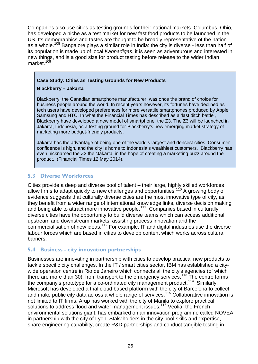Companies also use cities as testing grounds for their national markets. Columbus, Ohio, has developed a niche as a test market for new fast food products to be launched in the US. Its demographics and tastes are thought to be broadly representative of the nation as a whole.<sup>[108](#page-57-31)</sup> Bangalore plays a similar role in India: the city is diverse - less than half of its population is made up of local *Kannadigas*, it is seen as adventurous and interested in new things, and is a good size for product testing before release to the wider Indian market.<sup>[109](#page-57-32)</sup>

#### **Case Study: Cities as Testing Grounds for New Products**

#### **Blackberry – Jakarta**

Blackberry, the Canadian smartphone manufacturer, was once the brand of choice for business people around the world. In recent years however, its fortunes have declined as tech users have developed preferences for more versatile smartphones produced by Apple, Samsung and HTC. In what the Financial Times has described as a 'last ditch battle', Blackberry have developed a new model of smartphone, the Z3. The Z3 will be launched in Jakarta, Indonesia, as a testing ground for Blackberry's new emerging market strategy of marketing more budget-friendly products.

Jakarta has the advantage of being one of the world's largest and densest cities. Consumer confidence is high, and the city is home to Indonesia's wealthiest customers. Blackberry has even nicknamed the Z3 the 'Jakarta' in the hope of creating a marketing buzz around the product. (Financial Times 12 May 2014).

## **5.3 Diverse Workforces**

Cities provide a deep and diverse pool of talent – their large, highly skilled workforces allow firms to adapt quickly to new challenges and opportunities.<sup>[110](#page-57-33)</sup> A growing body of evidence suggests that culturally diverse cities are the most innovative type of city, as they benefit from a wider range of international knowledge links, diverse decision making and being able to attract more innovative people.<sup>[111](#page-57-34)</sup> Companies based in culturally diverse cities have the opportunity to build diverse teams which can access additional upstream and downstream markets, assisting process innovation and the commercialisation of new ideas.[112](#page-57-35) For example, IT and digital industries use the diverse labour forces which are based in cities to develop content which works across cultural barriers.

## **5.4 Business - city innovation partnerships**

Businesses are innovating in partnership with cities to develop practical new products to tackle specific city challenges. In the IT / smart cities sector, IBM has established a citywide operation centre in Rio de Janeiro which connects all the city's agencies (of which there are more than 30), from transport to the emergency services.<sup>[113](#page-57-36)</sup> The centre forms the company's prototype for a co-ordinated city management product.<sup>[114](#page-57-37)</sup> Similarly, Microsoft has developed a trial cloud based platform with the city of Barcelona to collect and make public city data across a whole range of services.[115](#page-57-38) Collaborative innovation is not limited to IT firms. Arup has worked with the city of Manila to explore practical solutions to address flood and water management issues.<sup>[116](#page-57-39)</sup> Veolia, the French environmental solutions giant, has embarked on an innovation programme called NOVEA in partnership with the city of Lyon. Stakeholders in the city pool skills and expertise, share engineering capability, create R&D partnerships and conduct tangible testing in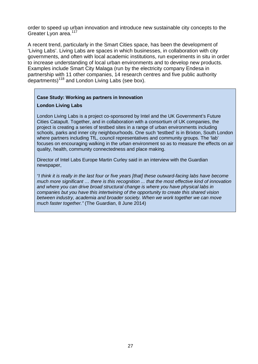order to speed up urban innovation and introduce new sustainable city concepts to the Greater Lyon area.<sup>117</sup>

A recent trend, particularly in the Smart Cities space, has been the development of 'Living Labs'. Living Labs are spaces in which businesses, in collaboration with city governments, and often with local academic institutions, run experiments in situ in order to increase understanding of local urban environments and to develop new products. Examples include Smart City Malaga (run by the electricity company Endesa in partnership with 11 other companies, 14 research centres and five public authority departments)<sup>[118](#page-57-16)</sup> and London Living Labs (see box).

#### **Case Study: Working as partners in Innovation**

#### **London Living Labs**

London Living Labs is a project co-sponsored by Intel and the UK Government's Future Cities Catapult. Together, and in collaboration with a consortium of UK companies, the project is creating a series of testbed sites in a range of urban environments including schools, parks and inner city neighbourhoods. One such 'testbed' is in Brixton, South London where partners including TfL, council representatives and community groups. The 'lab' focuses on encouraging walking in the urban environment so as to measure the effects on air quality, health, community connectedness and place making.

Director of Intel Labs Europe Martin Curley said in an interview with the Guardian newspaper,

*"I think it is really in the last four or five years [that] these outward-facing labs have become much more significant … there is this recognition ... that the most effective kind of innovation and where you can drive broad structural change is where you have physical labs in companies but you have this intertwining of the opportunity to create this shared vision between industry, academia and broader society. When we work together we can move much faster together."* (The Guardian, 8 June 2014)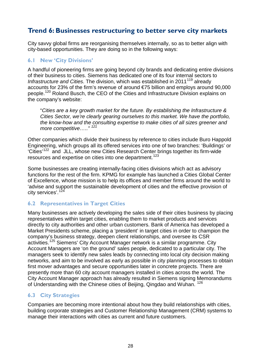## <span id="page-26-0"></span>**Trend 6: Businesses restructuring to better serve city markets**

City savvy global firms are reorganising themselves internally, so as to better align with city-based opportunities. They are doing so in the following ways:

## **6.1 New 'City Divisions'**

A handful of pioneering firms are going beyond city brands and dedicating entire divisions of their business to cities. Siemens has dedicated one of its four internal sectors to *Infrastructure and Cities*. The division, which was established in 2011<sup>[119](#page-57-40)</sup> already accounts for 23% of the firm's revenue of around €75 billion and employs around 90,000 people.[120](#page-57-41) Roland Busch, the CEO of the Cities and Infrastructure Division explains on the company's website:

"*Cities are a key growth market for the future. By establishing the Infrastructure & Cities Sector, we're clearly gearing ourselves to this market. We have the portfolio, the know-how and the consulting expertise to make cities of all sizes greener and more competitive….." [121](#page-57-42)*

Other companies which divide their business by reference to cities include Buro Happold Engineering, which groups all its offered services into one of two branches: 'Buildings' or 'Cities'[122](#page-57-43) and JLL, whose new Cities Research Center brings together its firm-wide resources and expertise on cities into one department.<sup>123</sup>

Some businesses are creating internally-facing cities divisions which act as advisory functions for the rest of the firm. KPMG for example has launched a Cities Global Center of Excellence, whose mission is to help its offices and member firms around the world to 'advise and support the sustainable development of cities and the effective provision of city services'.[124](#page-57-45)

## **6.2 Representatives in Target Cities**

Many businesses are actively developing the sales side of their cities business by placing representatives within target cities, enabling them to market products and services directly to city authorities and other urban customers. Bank of America has developed a Market Presidents scheme, placing a 'president' in target cities in order to champion the company's business strategy, deepen client relationships, and oversee its CSR activities.<sup>[125](#page-57-46)</sup> Siemens' City Account Manager network is a similar programme. City Account Managers are 'on the ground' sales people, dedicated to a particular city. The managers seek to identify new sales leads by connecting into local city decision making networks, and aim to be involved as early as possible in city planning processes to obtain first mover advantages and secure opportunities later in concrete projects. There are presently more than 60 city account managers installed in cities across the world. The City Account Manager approach has already resulted in Siemens signing Memorandums of Understanding with the Chinese cities of Beijing, Qingdao and Wuhan. [126](#page-57-47)

## **6.3 City Strategies**

Companies are becoming more intentional about how they build relationships with cities, building corporate strategies and Customer Relationship Management (CRM) systems to manage their interactions with cities as current and future customers.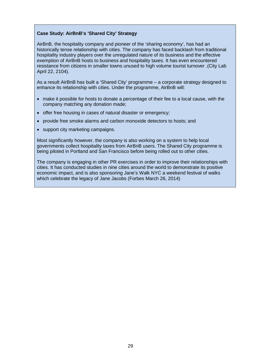#### **Case Study: AirBnB's 'Shared City' Strategy**

AirBnB, the hospitality company and pioneer of the 'sharing economy', has had an historically tense relationship with cities. The company has faced backlash from traditional hospitality industry players over the unregulated nature of its business and the effective exemption of AirBnB hosts to business and hospitality taxes. It has even encountered resistance from citizens in smaller towns unused to high volume tourist turnover .(City Lab April 22, 2104).

As a result AirBnB has built a 'Shared City' programme – a corporate strategy designed to enhance its relationship with cities. Under the programme, AirBnB will:

- make it possible for hosts to donate a percentage of their fee to a local cause, with the company matching any donation made;
- offer free housing in cases of natural disaster or emergency;
- provide free smoke alarms and carbon monoxide detectors to hosts; and
- support city marketing campaigns.

Most significantly however, the company is also working on a system to help local governments collect hospitality taxes from AirBnB users. The Shared City programme is being piloted in Portland and San Francisco before being rolled out to other cities.

The company is engaging in other PR exercises in order to improve their relationships with cities. It has conducted studies in nine cities around the world to demonstrate its positive economic impact, and is also sponsoring Jane's Walk NYC a weekend festival of walks which celebrate the legacy of Jane Jacobs (Forbes March 26, 2014)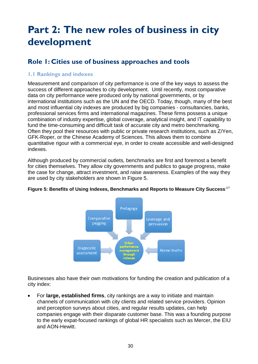# <span id="page-28-0"></span>**Part 2: The new roles of business in city development**

# <span id="page-28-1"></span>**Role 1: Cities use of business approaches and tools**

## **1.1 Rankings and indexes**

Measurement and comparison of city performance is one of the key ways to assess the success of different approaches to city development. Until recently, most comparative data on city performance were produced only by national governments, or by international institutions such as the UN and the OECD. Today, though, many of the best and most influential city indexes are produced by big companies - consultancies, banks, professional services firms and international magazines. These firms possess a unique combination of industry expertise, global coverage, analytical insight, and IT capability to fund the time-consuming and difficult task of accurate city and metro benchmarking. Often they pool their resources with public or private research institutions, such as Z/Yen, GFK-Roper, or the Chinese Academy of Sciences. This allows them to combine quantitative rigour with a commercial eye, in order to create accessible and well-designed indexes.

Although produced by commercial outlets, benchmarks are first and foremost a benefit for cities themselves. They allow city governments and publics to gauge progress, make the case for change, attract investment, and raise awareness. Examples of the way they are used by city stakeholders are shown in Figure 5.



## **Figure 5: Benefits of Using Indexes, Benchmarks and Reports to Measure City Success***[127](#page-57-48)*

Businesses also have their own motivations for funding the creation and publication of a city index:

• For **large, established firms**, city rankings are a way to initiate and maintain channels of communication with city clients and related service providers. Opinion and perception surveys about cities, and regular results updates, can help companies engage with their disparate customer base. This was a founding purpose to the early expat-focused rankings of global HR specialists such as Mercer, the EIU and AON-Hewitt.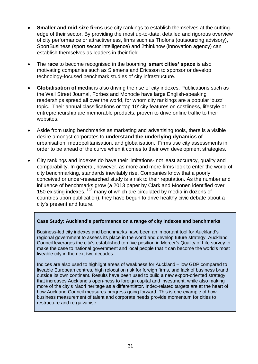- **Smaller and mid-size firms** use city rankings to establish themselves at the cuttingedge of their sector. By providing the most up-to-date, detailed and rigorous overview of city performance or attractiveness, firms such as Tholons (outsourcing advisory), SportBusiness (sport sector intelligence) and 2thinknow (innovation agency) can establish themselves as leaders in their field.
- The **race** to become recognised in the booming '**smart cities' space** is also motivating companies such as Siemens and Ericsson to sponsor or develop technology-focused benchmark studies of city infrastructure.
- **Globalisation of media** is also driving the rise of city indexes. Publications such as the Wall Street Journal, Forbes and Monocle have large English-speaking readerships spread all over the world, for whom city rankings are a popular 'buzz' topic. Their annual classifications or 'top 10' city features on costliness, lifestyle or entrepreneurship are memorable products, proven to drive online traffic to their websites.
- Aside from using benchmarks as marketing and advertising tools, there is a visible desire amongst corporates to **understand the underlying dynamics** of urbanisation, metropolitanisation, and globalisation. Firms use city assessments in order to be ahead of the curve when it comes to their own development strategies.
- City rankings and indexes do have their limitations- not least accuracy, quality and comparability. In general, however, as more and more firms look to enter the world of city benchmarking, standards inevitably rise. Companies know that a poorly conceived or under-researched study is a risk to their reputation. As the number and influence of benchmarks grow (a 2013 paper by Clark and Moonen identified over 150 existing indexes, <sup>[128](#page-57-49)</sup> many of which are circulated by media in dozens of countries upon publication), they have begun to drive healthy civic debate about a city's present and future.

## **Case Study: Auckland's performance on a range of city indexes and benchmarks**

Business-led city indexes and benchmarks have been an important tool for Auckland's regional government to assess its place in the world and develop future strategy. Auckland Council leverages the city's established top five position in Mercer's Quality of Life survey to make the case to national government and local people that it can become the world's most liveable city in the next two decades.

Indices are also used to highlight areas of weakness for Auckland – low GDP compared to liveable European centres, high relocation risk for foreign firms, and lack of business brand outside its own continent. Results have been used to build a new export-oriented strategy that increases Auckland's open-ness to foreign capital and investment, while also making more of the city's Maori heritage as a differentiator. Index-related targets are at the heart of how Auckland Council measures progress going forward. This is one example of how business measurement of talent and corporate needs provide momentum for cities to restructure and re-galvanise.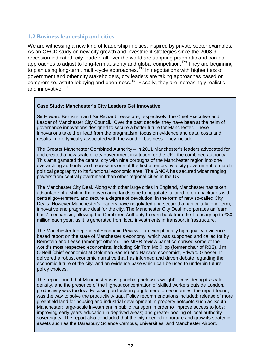## **1.2 Business leadership and cities**

We are witnessing a new kind of leadership in cities, inspired by private sector examples. As an OECD study on new city growth and investment strategies since the 2008-9 recession indicated, city leaders all over the world are adopting pragmatic and can-do approaches to adjust to long-term austerity and global competition.<sup>[129](#page-57-50)</sup> They are beginning to plan using long-term, multi-cycle approaches.<sup>[130](#page-57-51)</sup> In negotiations with higher tiers of government and other city stakeholders, city leaders are taking approaches based on compromise, astute lobbying and open-ness. $^{131}$  $^{131}$  $^{131}$  Fiscally, they are increasingly realistic and innovative.  $132$ 

#### **Case Study: Manchester's City Leaders Get Innovative**

Sir Howard Bernstein and Sir Richard Leese are, respectively, the Chief Executive and Leader of Manchester City Council. Over the past decade, they have been at the helm of governance innovations designed to secure a better future for Manchester. These innovations take their lead from the pragmatism, focus on evidence and data, costs and results, more typically associated with the world of business. They include:

The Greater Manchester Combined Authority – in 2011 Manchester's leaders advocated for and created a new scale of city government institution for the UK– the combined authority. This amalgamated the central city with nine boroughs of the Manchester region into one overarching authority, and represents one of the first attempts by a city government to match political geography to its functional economic area. The GMCA has secured wider ranging powers from central government than other regional cities in the UK.

The Manchester City Deal. Along with other large cities in England, Manchester has taken advantage of a shift in the governance landscape to negotiate tailored reform packages with central government, and secure a degree of devolution, in the form of new so-called City Deals. However Manchester's leaders have negotiated and secured a particularly long-term, innovative and pragmatic deal for the city. The Manchester City Deal incorporates an 'earn back' mechanism, allowing the Combined Authority to earn back from the Treasury up to £30 million each year, as it is generated from local investments in transport infrastructure.

The Manchester Independent Economic Review – an exceptionally high quality, evidencebased report on the state of Manchester's economy, which was supported and called for by Bernstein and Leese (amongst others). The MIER review panel comprised some of the world's most respected economists, including Sir Tom McKillop (former chair of RBS), Jim O'Neill (chief economist at Goldman Sachs) and Harvard economist, Edward Glaeser. It delivered a robust economic narrative that has informed and driven debate regarding the economic future of the city, and an evidence base which can be used to underpin future policy choices.

The report found that Manchester was 'punching below its weight' - considering its scale, density, and the presence of the highest concentration of skilled workers outside London, productivity was too low. Focusing on fostering agglomeration economies, the report found, was the way to solve the productivity gap. Policy recommendations included: release of more greenfield land for housing and industrial development in property hotspots such as South Manchester; large-scale investment in public transport in order to improve access to jobs; improving early years education in deprived areas; and greater pooling of local authority sovereignty. The report also concluded that the city needed to nurture and grow its strategic assets such as the Daresbury Science Campus, universities, and Manchester Airport.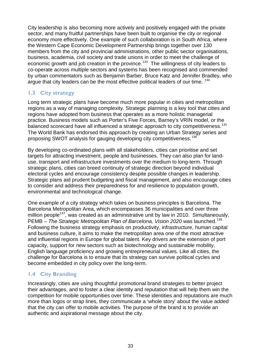City leadership is also becoming more actively and positively engaged with the private sector, and many fruitful partnerships have been built to organise the city or regional economy more effectively. One example of such collaboration is in South Africa, where the Western Cape Economic Development Partnership brings together over 130 members from the city and provincial administrations, other public sector organisations, business, academia, civil society and trade unions in order to meet the challenge of economic growth and job creation in the province.<sup>[133](#page-57-53)</sup> The willingness of city leaders to co-operate across multiple sectors and systems has been recognised and commended by urban commentators such as Benjamin Barber, Bruce Katz and Jennifer Bradley, who argue that city leaders can be the most effective political leaders of our time. <sup>[134](#page-57-29)</sup>

## **1.3 City strategy**

Long term strategic plans have become much more popular in cities and metropolitan regions as a way of managing complexity. Strategic planning is a key tool that cities and regions have adopted from business that operates as a more holistic managerial practice. Business models such as Porter's Five Forces, Barney's VRIN model, or the balanced scorecard have all influenced a strategic approach to city competitiveness.<sup>[135](#page-57-54)</sup> The World Bank has endorsed this approach by creating an Urban Strategy series and proposing SWOT analysis for gauging developing city competitiveness.[136](#page-57-55)

By developing co-ordinated plans with all stakeholders, cities can prioritise and set targets for attracting investment, people and businesses. They can also plan for landuse, transport and infrastructure investments over the medium to long-term. Through strategic plans, cities can breed continuity of strategic direction beyond individual electoral cycles and encourage consistency despite possible changes in leadership. Strategic plans aid prudent budgeting and fiscal management, and also encourage cities to consider and address their preparedness for and resilience to population growth, environmental and technological change.

One example of a city strategy which takes on business principles is Barcelona. The Barcelona Metropolitan Area, which encompasses 36 municipalities and over three million people<sup>[137](#page-57-56)</sup>, was created as an administrative unit by law in 2010. Simultaneously, PEMB – *The Strategic Metropolitan Plan of Barcelona, Vision 2020* was launched.<sup>[138](#page-57-57)</sup> Following the business strategy emphasis on productivity, infrastructure, human capital and business culture, it aims to make the metropolitan area one of the most attractive and influential regions in Europe for global talent. Key drivers are the extension of port capacity, support for new sectors such as biotechnology and sustainable mobility, English language proficiency and growing entrepreneurial values. Like all cities, the challenge for Barcelona is to ensure that its strategy can survive political cycles and become embedded in city policy over the long-term.

## **1.4 City Branding**

Increasingly, cities are using thoughtful promotional brand strategies to better project their advantages, and to foster a clear identity and reputation that will help them win the competition for mobile opportunities over time. These identities and reputations are much more than logos or strap lines, they communicate a 'whole story' about the value added that the city can offer to mobile activities. The purpose of the brand is to provide an authentic and aspirational message about the city.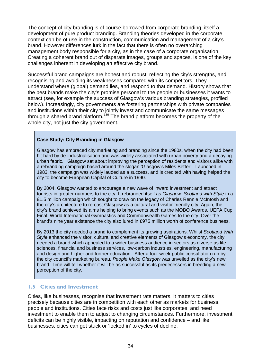The concept of city branding is of course borrowed from corporate branding, itself a development of pure product branding. Branding theories developed in the corporate context can be of use in the construction, communication and management of a city's brand. However differences lurk in the fact that there is often no overarching management body responsible for a city, as in the case of a corporate organisation. Creating a coherent brand out of disparate images, groups and spaces, is one of the key challenges inherent in developing an effective city brand.

Successful brand campaigns are honest and robust, reflecting the city's strengths, and recognising and avoiding its weaknesses compared with its competitors. They understand where (global) demand lies, and respond to that demand. History shows that the best brands make the city's promise personal to the people or businesses it wants to attract (see, for example the success of Glasgow's various branding strategies, profiled below). Increasingly, city governments are fostering partnerships with private companies and institutions within their city to jointly invest and communicate the same messages through a shared brand platform.<sup>[139](#page-57-58)</sup> The brand platform becomes the property of the whole city, not just the city government.

## **Case Study: City Branding in Glasgow**

Glasgow has embraced city marketing and branding since the 1980s, when the city had been hit hard by de-industrialisation and was widely associated with urban poverty and a decaying urban fabric. Glasgow set about improving the perception of residents and visitors alike with a rebranding campaign based around the slogan 'Glasgow's Miles Better'. Launched in 1983, the campaign was widely lauded as a success, and is credited with having helped the city to become European Capital of Culture in 1990.

By 2004, Glasgow wanted to encourage a new wave of inward investment and attract tourists in greater numbers to the city. It rebranded itself as *Glasgow: Scotland with Style* in a £1.5 million campaign which sought to draw on the legacy of Charles Rennie McIntosh and the city's architecture to re-cast Glasgow as a cultural and visitor-friendly city. Again, the city's brand achieved its aims helping to bring events such as the MOBO Awards, UEFA Cup Final, World International Gymnastics and Commonwealth Games to the city. Over the brand's nine year existence the city also lured in £975 million worth of conference business.

By 2013 the city needed a brand to complement its growing aspirations. Whilst *Scotland With Style* enhanced the visitor, cultural and creative elements of Glasgow's economy, the city needed a brand which appealed to a wider business audience in sectors as diverse as life sciences, financial and business services, low-carbon industries, engineering, manufacturing and design and higher and further education. After a four week public consultation run by the city council's marketing bureau, *People Make Glasgow* was unveiled as the city's new brand. Time will tell whether it will be as successful as its predecessors in breeding a new perception of the city.

## **1.5 Cities and Investment**

Cities, like businesses, recognise that investment rate matters. It matters to cities precisely because cities are in competition with each other as markets for business, people and institutions. Cities face risks and costs just like corporates, and need investment to enable them to adjust to changing circumstances. Furthermore, investment deficits can be highly visible, impacting on reputation and confidence – and like businesses, cities can get stuck or 'locked in' to cycles of decline.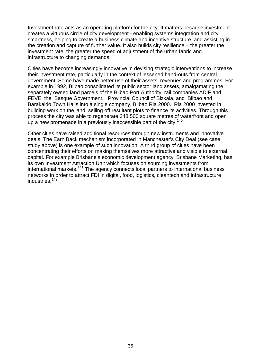Investment rate acts as an operating platform for the city. It matters because investment creates a virtuous circle of city development - enabling systems integration and city smartness, helping to create a business climate and incentive structure, and assisting in the creation and capture of further value. It also builds city resilience – the greater the investment rate, the greater the speed of adjustment of the urban fabric and infrastructure to changing demands.

Cities have become increasingly innovative in devising strategic interventions to increase their investment rate, particularly in the context of lessened hand-outs from central government. Some have made better use of their assets, revenues and programmes. For example in 1992, Bilbao consolidated its public sector land assets, amalgamating the separately owned land parcels of the Bilbao Port Authority, rail companies ADIF and FEVE, the Basque Government, Provincial Council of Bizkaia, and Bilbao and Barakaldo Town Halls into a single company, Bilbao Ria 2000. Ria 2000 invested in building work on the land, selling off resultant plots to finance its activities. Through this process the city was able to regenerate 348,500 square metres of waterfront and open up a new promenade in a previously inaccessible part of the city.<sup>140</sup>

Other cities have raised additional resources through new instruments and innovative deals. The Earn Back mechanism incorporated in Manchester's City Deal (see case study above) is one example of such innovation. A third group of cities have been concentrating their efforts on making themselves more attractive and visible to external capital. For example Brisbane's economic development agency, Brisbane Marketing, has its own Investment Attraction Unit which focuses on sourcing investments from international markets.<sup>[141](#page-57-59)</sup> The agency connects local partners to international business networks in order to attract FDI in digital, food, logistics, cleantech and infrastructure industries.<sup>142</sup>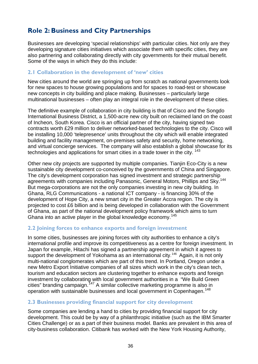# <span id="page-34-0"></span>**Role 2: Business and City Partnerships**

Businesses are developing 'special relationships' with particular cities. Not only are they developing signature cities initiatives which associate them with specific cities, they are also partnering and collaborating directly with city governments for their mutual benefit. Some of the ways in which they do this include:

## **2.1 Collaboration in the development of 'new' cities**

New cities around the world are springing up from scratch as national governments look for new spaces to house growing populations and for spaces to road-test or showcase new concepts in city building and place making. Businesses – particularly large multinational businesses – often play an integral role in the development of these cities.

The definitive example of collaboration in city building is that of Cisco and the Songdo International Business District, a 1,500-acre new city built on reclaimed land on the coast of Incheon, South Korea. Cisco is an official partner of the city, having signed two contracts worth £29 million to deliver networked-based technologies to the city. Cisco will be installing 10,000 'telepresence' units throughout the city which will enable integrated building and facility management, on-premises safety and security, home networking, and virtual concierge services. The company will also establish a global showcase for its technologies and applications for smart cities in a trade tower in the city.<sup>[143](#page-57-61)</sup>

Other new city projects are supported by multiple companies. Tianjin Eco-City is a new sustainable city development co-conceived by the governments of China and Singapore. The city's development corporation has signed investment and strategic partnership agreements with companies including Panasonic, General Motors, Phillips and Sky.<sup>[144](#page-57-62)</sup> But mega-corporations are not the only companies investing in new city building. In Ghana, RLG Communications - a national ICT company - is financing 30% of the development of Hope City, a new smart city in the Greater Accra region. The city is projected to cost £6 billion and is being developed in collaboration with the Government of Ghana, as part of the national development policy framework which aims to turn Ghana into an active player in the global knowledge economy.<sup>[145](#page-57-63)</sup>

## **2.2 Joining forces to enhance exports and foreign investment**

In some cities, businesses are joining forces with city authorities to enhance a city's international profile and improve its competitiveness as a centre for foreign investment. In Japan for example, Hitachi has signed a partnership agreement in which it agrees to support the development of Yokohama as an international city.<sup>146</sup> Again, it is not only multi-national conglomerates which are part of this trend. In Portland, Oregon under a new Metro Export Initiative companies of all sizes which work in the city's clean tech, tourism and education sectors are clustering together to enhance exports and foreign investment by collaborating with local government authorities in a "We Build Green cities" branding campaign.<sup>[147](#page-57-65)</sup> A similar collective marketing programme is also in operation with sustainable businesses and local government in Copenhagen.<sup>[148](#page-57-66)</sup>

## **2.3 Businesses providing financial support for city development**

Some companies are lending a hand to cities by providing financial support for city development. This could be by way of a philanthropic initiative (such as the IBM Smarter Cities Challenge) or as a part of their business model. Banks are prevalent in this area of city-business collaboration. Citibank has worked with the New York Housing Authority,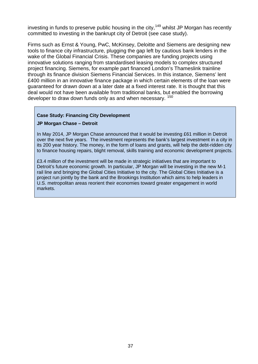investing in funds to preserve public housing in the city,  $149$  whilst JP Morgan has recently committed to investing in the bankrupt city of Detroit (see case study).

Firms such as Ernst & Young, PwC, McKinsey, Deloitte and Siemens are designing new tools to finance city infrastructure, plugging the gap left by cautious bank lenders in the wake of the Global Financial Crisis. These companies are funding projects using innovative solutions ranging from standardised leasing models to complex structured project financing. Siemens, for example part financed London's Thameslink trainline through its finance division Siemens Financial Services. In this instance, Siemens' lent £400 million in an innovative finance package in which certain elements of the loan were guaranteed for drawn down at a later date at a fixed interest rate. It is thought that this deal would not have been available from traditional banks, but enabled the borrowing developer to draw down funds only as and when necessary. <sup>[150](#page-57-47)</sup>

#### **Case Study: Financing City Development**

#### **JP Morgan Chase – Detroit**

In May 2014, JP Morgan Chase announced that it would be investing £61 million in Detroit over the next five years. The investment represents the bank's largest investment in a city in its 200 year history. The money, in the form of loans and grants, will help the debt-ridden city to finance housing repairs, blight removal, skills training and economic development projects.

£3.4 million of the investment will be made in strategic initiatives that are important to Detroit's future economic growth. In particular, JP Morgan will be investing in the new M-1 rail line and bringing the Global Cities Initiative to the city. The Global Cities Initiative is a project run jointly by the bank and the Brookings Institution which aims to help leaders in U.S. metropolitan areas reorient their economies toward greater engagement in world markets.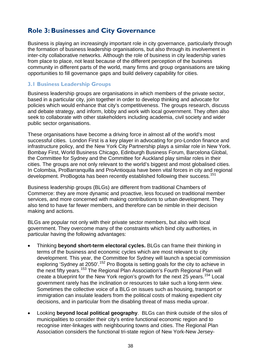## <span id="page-36-0"></span>**Role 3: Businesses and City Governance**

Business is playing an increasingly important role in city governance, particularly through the formation of business leadership organisations, but also through its involvement in inter-city collaborative networks. Although the role of business in city leadership varies from place to place, not least because of the different perception of the business community in different parts of the world, many firms and group organisations are taking opportunities to fill governance gaps and build delivery capability for cities.

## **3.1 Business Leadership Groups**

Business leadership groups are organisations in which members of the private sector, based in a particular city, join together in order to develop thinking and advocate for policies which would enhance that city's competitiveness. The groups research, discuss and debate strategy, and inform, lobby and work with local government. They often also seek to collaborate with other stakeholders including academia, civil society and wider public sector organisations.

These organisations have become a driving force in almost all of the world's most successful cities. London First is a key player in advocating for pro-London finance and infrastructure policy, and the New York City Partnership plays a similar role in New York. Bombay First, World Business Chicago, Edinburgh Business Forum, Barcelona Global, the Committee for Sydney and the Committee for Auckland play similar roles in their cities. The groups are not only relevant to the world's biggest and most globalised cities. In Colombia, ProBarranquilla and ProAntioquia have been vital forces in city and regional development. ProBogota has been recently established following their success.<sup>151</sup>

Business leadership groups (BLGs) are different from traditional Chambers of Commerce: they are more dynamic and proactive, less focused on traditional member services, and more concerned with making contributions to urban development. They also tend to have far fewer members, and therefore can be nimble in their decision making and actions.

BLGs are popular not only with their private sector members, but also with local government. They overcome many of the constraints which bind city authorities, in particular having the following advantages:

- Thinking **beyond short-term electoral cycles.** BLGs can frame their thinking in terms of the business and economic cycles which are most relevant to city development. This year, the Committee for Sydney will launch a special commission exploring 'Sydney at 2050'.<sup>[152](#page-57-69)</sup> Pro Bogota is setting goals for the city to achieve in the next fifty years.<sup>[153](#page-57-70)</sup> The Regional Plan Association's Fourth Regional Plan will create a blueprint for the New York region's growth for the next  $25$  years.<sup>[154](#page-57-71)</sup> Local government rarely has the inclination or resources to take such a long-term view. Sometimes the collective voice of a BLG on issues such as housing, transport or immigration can insulate leaders from the political costs of making expedient city decisions, and in particular from the disabling threat of mass media uproar.
- Looking **beyond local political geography**. BLGs can think outside of the silos of municipalities to consider their city's entire functional economic region and to recognise inter-linkages with neighbouring towns and cities. The Regional Plan Association considers the functional tri-state region of New York-New Jersey-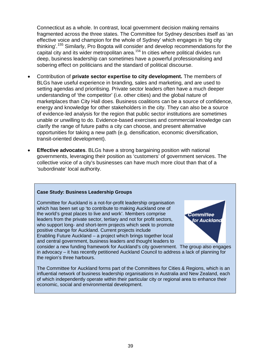Connecticut as a whole. In contrast, local government decision making remains fragmented across the three states. The Committee for Sydney describes itself as 'an effective voice and champion for the whole of Sydney' which engages in 'big city thinking'.[155](#page-57-1) Similarly, Pro Bogota will consider and develop recommendations for the capital city and its wider metropolitan area.<sup>[156](#page-57-2)</sup> In cities where political divides run deep, business leadership can sometimes have a powerful professionalising and sobering effect on politicians and the standard of political discourse.

- Contribution of **private sector expertise to city development.** The members of BLGs have useful experience in branding, sales and marketing, and are used to setting agendas and prioritising. Private sector leaders often have a much deeper understanding of 'the competitor' (i.e. other cities) and the global nature of marketplaces than City Hall does. Business coalitions can be a source of confidence, energy and knowledge for other stakeholders in the city. They can also be a source of evidence-led analysis for the region that public sector institutions are sometimes unable or unwilling to do. Evidence-based exercises and commercial knowledge can clarify the range of future paths a city can choose, and present alternative opportunities for taking a new path (e.g. densification, economic diversification, transit-oriented development).
- **Effective advocates**. BLGs have a strong bargaining position with national governments, leveraging their position as 'customers' of government services. The collective voice of a city's businesses can have much more clout than that of a 'subordinate' local authority.

## **Case Study: Business Leadership Groups**

Committee for Auckland is a not-for-profit leadership organisation which has been set up 'to contribute to making Auckland one of the world's great places to live and work'. Members comprise leaders from the private sector, tertiary and not for profit sectors, who support long- and short-term projects which seek to promote positive change for Auckland. Current projects include Enabling Future Auckland – a project which brings together local and central government, business leaders and thought leaders to



consider a new funding framework for Auckland's city government. The group also engages in advocacy – it has recently petitioned Auckland Council to address a lack of planning for the region's three harbours.

The Committee for Auckland forms part of the Committees for Cities & Regions, which is an influential network of business leadership organisations in Australia and New Zealand, each of which independently operate within their particular city or regional area to enhance their economic, social and environmental development.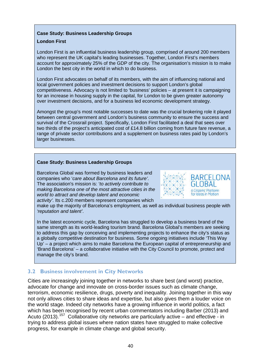#### **Case Study: Business Leadership Groups**

#### **London First**

London First is an influential business leadership group, comprised of around 200 members who represent the UK capital's leading businesses. Together, London First's members account for approximately 25% of the GDP of the city. The organisation's mission is to make London the best city in the world in which to do business.

London First advocates on behalf of its members, with the aim of influencing national and local government policies and investment decisions to support London's global competitiveness. Advocacy is not limited to 'business' policies – at present it is campaigning for an increase in housing supply in the capital, for London to be given greater autonomy over investment decisions, and for a business led economic development strategy.

Amongst the group's most notable successes to date was the crucial brokering role it played between central government and London's business community to ensure the success and survival of the Crossrail project. Specifically, London First facilitated a deal that sees over two thirds of the project's anticipated cost of £14.8 billion coming from future fare revenue, a range of private sector contributions and a supplement on business rates paid by London's larger businesses.

#### **Case Study: Business Leadership Groups**

Barcelona Global was formed by business leaders and companies who '*care about Barcelona and its future'*. The association's mission is: '*to actively contribute to making Barcelona one of the most attractive cities in the world to attract and develop talent and economic activity'*. Its c.200 members represent companies which



make up the majority of Barcelona's employment, as well as individual business people with *'reputation and talent'*.

In the latest economic cycle, Barcelona has struggled to develop a business brand of the same strength as its world-leading tourism brand. Barcelona Global's members are seeking to address this gap by conceiving and implementing projects to enhance the city's status as a globally competitive destination for business. Some ongoing initiatives include 'This Way Up' – a project which aims to make Barcelona the European capital of entrepreneurship and 'Brand Barcelona' – a collaborative initiative with the City Council to promote, protect and manage the city's brand.

## **3.2 Business involvement in City Networks**

Cities are increasingly joining together in networks to share best (and worst) practice, advocate for change and innovate on cross-border issues such as climate change, terrorism, economic resilience, drugs, poverty and inequality. Joining together in this way not only allows cities to share ideas and expertise, but also gives them a louder voice on the world stage. Indeed city networks have a growing influence in world politics, a fact which has been recognised by recent urban commentators including Barber (2013) and Acuto (2013).<sup>[157](#page-57-3)</sup> Collaborative city networks are particularly active – and effective - in trying to address global issues where nation states have struggled to make collective progress, for example in climate change and global security.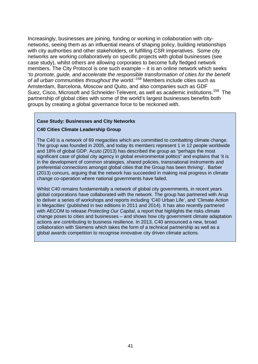Increasingly, businesses are joining, funding or working in collaboration with citynetworks, seeing them as an influential means of shaping policy, building relationships with city authorities and other stakeholders, or fulfilling CSR imperatives. Some city networks are working collaboratively on specific projects with global businesses (see case study), whilst others are allowing corporates to become fully fledged network members. The City Protocol is one such example – it is an online network which seeks '*to promote, guide, and accelerate the responsible transformation of cities for the benefit of all urban communities throughout the world*.'[158](#page-57-4) Members include cities such as Amsterdam, Barcelona, Moscow and Quito, and also companies such as GDF Suez, Cisco, Microsoft and Schneider-Televent, as well as academic institutions.<sup>[159](#page-57-72)</sup> The partnership of global cities with some of the world's largest businesses benefits both groups by creating a global governance force to be reckoned with.

#### **Case Study: Businesses and City Networks**

#### **C40 Cities Climate Leadership Group**

The C40 is a network of 69 megacities which are committed to combatting climate change. The group was founded in 2005, and today its members represent 1 in 12 people worldwide and 18% of global GDP. Acuto (2013) has described the group as "perhaps the most significant case of global city agency in global environmental politics" and explains that 'it is in the development of common strategies, shared policies, transnational instruments and preferential connections amongst global cities that the Group has been thriving'. Barber (2013) concurs, arguing that the network has succeeded in making real progress in climate change co-operation where national governments have failed.

Whilst C40 remains fundamentally a network of global city governments, in recent years global corporations have collaborated with the network. The group has partnered with Arup to deliver a series of workshops and reports including 'C40 Urban Life', and 'Climate Action in Megacities' (published in two editions in 2011 and 2014). It has also recently partnered with AECOM to release *[Protecting Our Capital](http://c40-production-images.s3.amazonaws.com/researches/images/21_CDP-global-cities-report-2014.original.pdf?1405023405)*, a report that highlights the risks climate change poses to cities and businesses – and shows how city government climate adaptation actions are contributing to business resilience. In 2013, C40 announced a new, broad collaboration with Siemens which takes the form of a technical partnership as well as a global awards competition to recognise innovative city driven climate actions.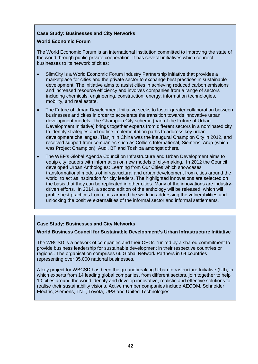#### **Case Study: Businesses and City Networks**

#### **World Economic Forum**

The World Economic Forum is an international institution committed to improving the state of the world through public-private cooperation. It has several initiatives which connect businesses to its network of cities:

- SlimCity is a World Economic Forum Industry Partnership initiative that provides a marketplace for cities and the private sector to exchange best practices in sustainable development. The initiative aims to assist cities in achieving reduced carbon emissions and increased resource efficiency and involves companies from a range of sectors including chemicals, engineering, construction, energy, information technologies, mobility, and real estate.
- The Future of Urban Development Initiative seeks to foster greater collaboration between businesses and cities in order to accelerate the transition towards innovative urban development models. The Champion City scheme (part of the Future of Urban Development Initiative) brings together experts from different sectors in a nominated city to identify strategies and outline implementation paths to address key urban development challenges. Tianjin in China was the inaugural Champion City in 2012, and received support from companies such as Colliers International, Siemens, Arup (which was Project Champion), Audi, BT and Toshiba amongst others.
- The WEF's Global Agenda Council on Infrastructure and Urban Development aims to equip city leaders with information on new models of city-making. In 2012 the Council developed Urban Anthologies: Learning from Our Cities which showcases transformational models of infrastructural and urban development from cities around the world, to act as inspiration for city leaders. The highlighted innovations are selected on the basis that they can be replicated in other cities. Many of the innovations are industrydriven efforts. In 2014, a second edition of the anthology will be released, which will profile best practices from cities around the world in addressing the vulnerabilities and unlocking the positive externalities of the informal sector and informal settlements.

## **Case Study: Businesses and City Networks**

#### **World Business Council for Sustainable Development's Urban Infrastructure Initiative**

The WBCSD is a network of companies and their CEOs, 'united by a shared commitment to provide business leadership for sustainable development in their respective countries or regions'. The organisation comprises 66 Global Network Partners in 64 countries representing over 35,000 national businesses.

A key project for WBCSD has been the groundbreaking Urban Infrastructure Initiative (UII), in which experts from 14 leading global companies, from different sectors, join together to help 10 cities around the world identify and develop innovative, realistic and effective solutions to realise their sustainability visions. Active member companies include AECOM, Schneider Electric, Siemens, TNT, Toyota, UPS and United Technologies.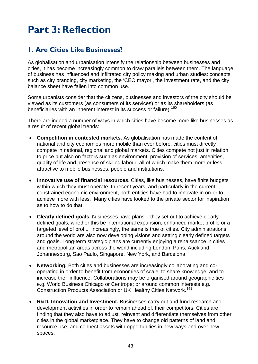# <span id="page-41-0"></span>**Part 3: Reflection**

# <span id="page-41-1"></span>**1. Are Cities Like Businesses?**

As globalisation and urbanisation intensify the relationship between businesses and cities, it has become increasingly common to draw parallels between them. The language of business has influenced and infiltrated city policy making and urban studies: concepts such as city branding, city marketing, the 'CEO mayor', the investment rate, and the city balance sheet have fallen into common use.

Some urbanists consider that the citizens, businesses and investors of the city should be viewed as its customers (as consumers of its services) or as its shareholders (as beneficiaries with an inherent interest in its success or failure).<sup>[160](#page-57-31)</sup>

There are indeed a number of ways in which cities have become more like businesses as a result of recent global trends:

- **Competition in contested markets.** As globalisation has made the content of national and city economies more mobile than ever before, cities must directly compete in national, regional and global markets. Cities compete not just in relation to price but also on factors such as environment, provision of services, amenities, quality of life and presence of skilled labour, all of which make them more or less attractive to mobile businesses, people and institutions.
- **Innovative use of financial resources.** Cities, like businesses, have finite budgets within which they must operate. In recent years, and particularly in the current constrained economic environment, both entities have had to innovate in order to achieve more with less. Many cities have looked to the private sector for inspiration as to how to do that.
- **Clearly defined goals.** Businesses have plans they set out to achieve clearly defined goals, whether this be international expansion, enhanced market profile or a targeted level of profit. Increasingly, the same is true of cities. City administrations around the world are also now developing visions and setting clearly defined targets and goals. Long-term strategic plans are currently enjoying a renaissance in cities and metropolitan areas across the world including London, Paris, Auckland, Johannesburg, Sao Paulo, Singapore, New York, and Barcelona.
- **Networking.** Both cities and businesses are increasingly collaborating and cooperating in order to benefit from economies of scale, to share knowledge, and to increase their influence. Collaborations may be organised around geographic ties e.g. World Business Chicago or Centrope; or around common interests e.g. Construction Products Association or UK Healthy Cities Network.<sup>161</sup>
- **R&D, Innovation and Investment.** Businesses carry out and fund research and development activities in order to remain ahead of, their competitors. Cities are finding that they also have to adjust, reinvent and differentiate themselves from other cities in the global marketplace. They have to change old patterns of land and resource use, and connect assets with opportunities in new ways and over new spaces.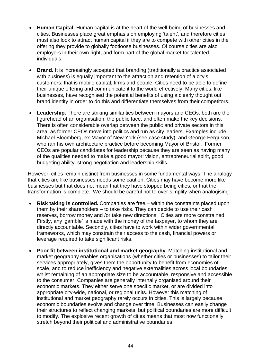- **Human Capital.** Human capital is at the heart of the well-being of businesses and cities. Businesses place great emphasis on employing 'talent', and therefore cities must also look to attract human capital if they are to compete with other cities in the offering they provide to globally footloose businesses. Of course cities are also employers in their own right, and form part of the global market for talented individuals.
- **Brand.** It is increasingly accepted that branding (traditionally a practice associated with business) is equally important to the attraction and retention of a city's customers: that is mobile capital, firms and people. Cities need to be able to define their unique offering and communicate it to the world effectively. Many cities, like businesses, have recognised the potential benefits of using a clearly thought out brand identity in order to do this and differentiate themselves from their competitors.
- **Leadership.** There are striking similarities between mayors and CEOs: both are the figurehead of an organisation, the public face, and often make the key decisions. There is often considerable overlap between the public and private sectors in this area, as former CEOs move into politics and run as city leaders. Examples include Michael Bloomberg, ex-Mayor of New York (see case study), and George Ferguson, who ran his own architecture practice before becoming Mayor of Bristol. Former CEOs are popular candidates for leadership because they are seen as having many of the qualities needed to make a good mayor: vision, entrepreneurial spirit, good budgeting ability, strong negotiation and leadership skills.

However, cities remain distinct from businesses in some fundamental ways. The analogy that cities are like businesses needs some caution. Cities may have become more like businesses but that does not mean that they have stopped being cities, or that the transformation is complete. We should be careful not to over-simplify when analogising:

- **Risk taking is controlled.** Companies are free within the constraints placed upon them by their shareholders – to take risks. They can decide to use their cash reserves, borrow money and /or take new directions. Cities are more constrained. Firstly, any 'gamble' is made with the money of the taxpayer, to whom they are directly accountable. Secondly, cities have to work within wider governmental frameworks, which may constrain their access to the cash, financial powers or leverage required to take significant risks.
- **Poor fit between institutional and market geography.** Matching institutional and market geography enables organisations (whether cities or businesses) to tailor their services appropriately, gives them the opportunity to benefit from economies of scale, and to reduce inefficiency and negative externalities across local boundaries, whilst remaining of an appropriate size to be accountable, responsive and accessible to the consumer. Companies are generally internally organised around their economic markets. They either serve one specific market, or are divided into appropriate city-wide, national, or regional units. However this matching of institutional and market geography rarely occurs in cities. This is largely because economic boundaries evolve and change over time. Businesses can easily change their structures to reflect changing markets, but political boundaries are more difficult to modify. The explosive recent growth of cities means that most now functionally stretch beyond their political and administrative boundaries.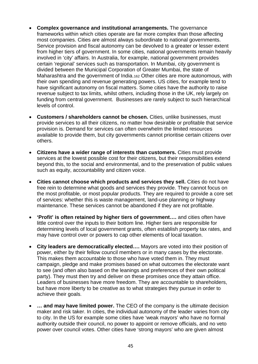- **Complex governance and institutional arrangements.** The governance frameworks within which cities operate are far more complex than those affecting most companies. Cities are almost always subordinate to national governments. Service provision and fiscal autonomy can be devolved to a greater or lesser extent from higher tiers of government. In some cities, national governments remain heavily involved in 'city' affairs. In Australia, for example, national government provides certain 'regional' services such as transportation. In Mumbai, city government is divided between the Municipal Corporation of Greater Mumbai, the state of Maharashtra and the government of India.[162](#page-57-57) Other cities are more autonomous, with their own spending and revenue generating powers. US cities, for example tend to have significant autonomy on fiscal matters. Some cities have the authority to raise revenue subject to tax limits, whilst others, including those in the UK, rely largely on funding from central government. Businesses are rarely subject to such hierarchical levels of control.
- **Customers / shareholders cannot be chosen.** Cities, unlike businesses, must provide services to all their citizens, no matter how desirable or profitable that service provision is. Demand for services can often overwhelm the limited resources available to provide them, but city governments cannot prioritise certain citizens over others.
- **Citizens have a wider range of interests than customers.** Cities must provide services at the lowest possible cost for their citizens, but their responsibilities extend beyond this, to the social and environmental, and to the preservation of public values such as equity, accountability and citizen voice.
- **Cities cannot choose which products and services they sell.** Cities do not have free rein to determine what goods and services they provide. They cannot focus on the most profitable, or most popular products. They are required to provide a core set of services: whether this is waste management, land-use planning or highway maintenance. These services cannot be abandoned if they are not profitable.
- **'Profit' is often retained by higher tiers of government….** and cities often have little control over the inputs to their bottom line. Higher tiers are responsible for determining levels of local government grants, often establish property tax rates, and may have control over or powers to cap other elements of local taxation.
- **City leaders are democratically elected….** Mayors are voted into their position of power, either by their fellow council members or in many cases by the electorate. This makes them accountable to those who have voted them in. They must campaign, pledge and make promises based on what outcomes the electorate want to see (and often also based on the leanings and preferences of their own political party). They must then try and deliver on these promises once they attain office. Leaders of businesses have more freedom. They are accountable to shareholders, but have more liberty to be creative as to what strategies they pursue in order to achieve their goals.
- **… and may have limited power.** The CEO of the company is the ultimate decision maker and risk taker. In cities, the individual autonomy of the leader varies from city to city. In the US for example some cities have 'weak mayors' who have no formal authority outside their council, no power to appoint or remove officials, and no veto power over council votes. Other cities have 'strong mayors' who are given almost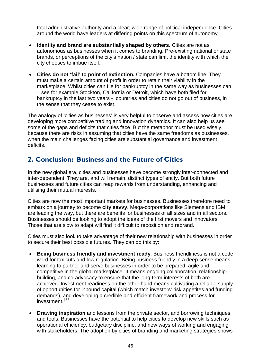total administrative authority and a clear, wide range of political independence. Cities around the world have leaders at differing points on this spectrum of autonomy.

- **Identity and brand are substantially shaped by others.** Cities are not as autonomous as businesses when it comes to branding. Pre-existing national or state brands, or perceptions of the city's nation / state can limit the identity with which the city chooses to imbue itself.
- **Cities do not 'fail' to point of extinction.** Companies have a bottom line. They must make a certain amount of profit in order to retain their viability in the marketplace. Whilst cities can file for bankruptcy in the same way as businesses can – see for example Stockton, California or Detroit, which have both filed for bankruptcy in the last two years - countries and cities do not go out of business, in the sense that they cease to exist.

The analogy of 'cities as businesses' is very helpful to observe and assess how cities are developing more competitive trading and innovation dynamics. It can also help us see some of the gaps and deficits that cities face. But the metaphor must be used wisely, because there are risks in assuming that cities have the same freedoms as businesses, when the main challenges facing cities are substantial governance and investment deficits.

## <span id="page-44-0"></span>**2. Conclusion: Business and the Future of Cities**

In the new global era, cities and businesses have become strongly inter-connected and inter-dependent. They are, and will remain, distinct types of entity. But both future businesses and future cities can reap rewards from understanding, enhancing and utilising their mutual interests.

Cities are now the most important markets for businesses. Businesses therefore need to embark on a journey to become **city savvy**. Mega-corporations like Siemens and IBM are leading the way, but there are benefits for businesses of all sizes and in all sectors. Businesses should be looking to adopt the ideas of the first movers and innovators. Those that are slow to adapt will find it difficult to reposition and rebrand.

Cities must also look to take advantage of their new relationship with businesses in order to secure their best possible futures. They can do this by:

- **Being business friendly and investment ready**. Business friendliness is not a code word for tax cuts and low regulation. Being business friendly in a deep sense means learning to partner and serve businesses in order to be prepared, agile and competitive in the global marketplace. It means ongoing collaboration, relationshipbuilding, and co-advocacy to ensure that the long-term interests of both are achieved. Investment readiness on the other hand means cultivating a reliable supply of opportunities for inbound capital (which match investors' risk appetites and funding demands), and developing a credible and efficient framework and process for investment.<sup>[163](#page-57-73)</sup>
- **Drawing inspiration** and lessons from the private sector, and borrowing techniques and tools. Businesses have the potential to help cities to develop new skills such as operational efficiency, budgetary discipline, and new ways of working and engaging with stakeholders. The adoption by cities of branding and marketing strategies shows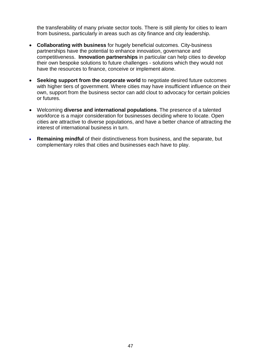the transferability of many private sector tools. There is still plenty for cities to learn from business, particularly in areas such as city finance and city leadership.

- **Collaborating with business** for hugely beneficial outcomes. City-business partnerships have the potential to enhance innovation, governance and competitiveness. **Innovation partnerships** in particular can help cities to develop their own bespoke solutions to future challenges - solutions which they would not have the resources to finance, conceive or implement alone.
- **Seeking support from the corporate world** to negotiate desired future outcomes with higher tiers of government. Where cities may have insufficient influence on their own, support from the business sector can add clout to advocacy for certain policies or futures.
- Welcoming **diverse and international populations**. The presence of a talented workforce is a major consideration for businesses deciding where to locate. Open cities are attractive to diverse populations, and have a better chance of attracting the interest of international business in turn.
- **Remaining mindful** of their distinctiveness from business, and the separate, but complementary roles that cities and businesses each have to play.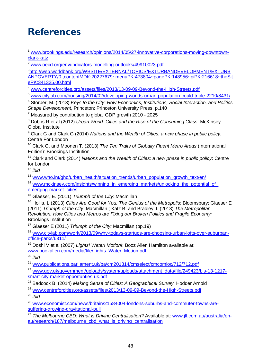# <span id="page-46-0"></span>**References**

 $\overline{a}$ 

<span id="page-46-1"></span>[www.brookings.edu/research/opinions/2014/05/27-innovative-corporations-moving-downtown](http://www.brookings.edu/research/opinions/2014/05/27-innovative-corporations-moving-downtown-clark-katz)[clark-katz](http://www.brookings.edu/research/opinions/2014/05/27-innovative-corporations-moving-downtown-clark-katz)

<span id="page-46-2"></span><sup>2</sup> [www.oecd.org/env/indicators-modelling-outlooks/49910023.pdf](http://www.oecd.org/env/indicators-modelling-outlooks/49910023.pdf)

<span id="page-46-3"></span>3 [http://web.worldbank.org/WBSITE/EXTERNAL/TOPICS/EXTURBANDEVELOPMENT/EXTURB](http://web.worldbank.org/WBSITE/EXTERNAL/TOPICS/EXTURBANDEVELOPMENT/EXTURBANPOVERTY/0,,contentMDK:20227679%7EmenuPK:473804%7EpagePK:148956%7EpiPK:216618%7EtheSitePK:341325,00.html) [ANPOVERTY/0,,contentMDK:20227679~menuPK:473804~pagePK:148956~piPK:216618~theSit](http://web.worldbank.org/WBSITE/EXTERNAL/TOPICS/EXTURBANDEVELOPMENT/EXTURBANPOVERTY/0,,contentMDK:20227679%7EmenuPK:473804%7EpagePK:148956%7EpiPK:216618%7EtheSitePK:341325,00.html) [ePK:341325,00.html](http://web.worldbank.org/WBSITE/EXTERNAL/TOPICS/EXTURBANDEVELOPMENT/EXTURBANPOVERTY/0,,contentMDK:20227679%7EmenuPK:473804%7EpagePK:148956%7EpiPK:216618%7EtheSitePK:341325,00.html)

<span id="page-46-4"></span>[www.centreforcities.org/assets/files/2013/13-09-09-Beyond-the-High-Streets.pdf](http://www.centreforcities.org/assets/files/2013/13-09-09-Beyond-the-High-Streets.pdf)

<span id="page-46-5"></span><sup>5</sup> [www.citylab.com/housing/2014/02/developing-worlds-urban-population-could-triple-2210/8431/](http://www.citylab.com/housing/2014/02/developing-worlds-urban-population-could-triple-2210/8431/)

<sup>6</sup> Storper, M. (2013) *Keys to the City: How Economics, Institutions, Social Interaction, and Politics Shape Development*, Princeton: Princeton University Press. p.140

 $7$  Measured by contribution to global GDP growth 2010 - 2025

<sup>8</sup> Dobbs R et al (2012) *Urban World: Cities and the Rise of the Consuming Class:* McKinsey Global Institute

<sup>9</sup> Clark G and Clark G (2014) *Nations and the Wealth of Cities: a new phase in public policy:* Centre For London

<sup>10</sup> Clark G. and Moonen T. (2013) *The Ten Traits of Globally Fluent Metro Areas* (International Edition): Brookings Institution

<sup>11</sup> Clark and Clark (2014) *Nations and the Wealth of Cities: a new phase in public policy*: Centre for London

<sup>12</sup> *ibid*

<sup>13</sup> [www.who.int/gho/urban\\_health/situation\\_trends/urban\\_population\\_growth\\_text/en/](http://www.who.int/gho/urban_health/situation_trends/urban_population_growth_text/en/)

<sup>14</sup> www.mckinsey.com/insights/winning\_in\_emerging\_markets/unlocking\_the\_potential\_of [emerging-market\\_cities](http://www.mckinsey.com/insights/winning_in_emerging_markets/unlocking_the_potential_of_%0bemerging-market_cities)

<sup>15</sup> Glaeser, E. (2011) *Triumph of the City*: Macmillan

<sup>16</sup> Hollis, L (2013) *Cities Are Good for You: The Genius of the Metropolis*: Bloomsbury; Glaeser E (2011) *Triumph of the City:* Macmillan ; Katz B. and Bradley J. (2013) *The Metropolitan Revolution: How Cities and Metros are Fixing our Broken Politics and Fragile Economy:*  Brookings Institution

<sup>17</sup> Glaeser E (2011) *Triumph of the City:* Macmillan (pp.19)

<sup>18</sup> [www.citylab.com/work/2013/09/why-todays-startups-are-choosing-urban-lofts-over-suburban](http://www.citylab.com/work/2013/09/why-todays-startups-are-choosing-urban-lofts-over-suburban-office-parks/6311/)[office-parks/6311/](http://www.citylab.com/work/2013/09/why-todays-startups-are-choosing-urban-lofts-over-suburban-office-parks/6311/)

<sup>19</sup> Doshi V et al (2007) *Lights! Water! Motion!*: Booz Allen Hamilton available at: [www.boozallen.com/media/file/Lights\\_Water\\_Motion.pdf](http://www.boozallen.com/media/file/Lights_Water_Motion.pdf)

<sup>20</sup> *ibid*

<sup>21</sup> [www.publications.parliament.uk/pa/cm201314/cmselect/cmcomloc/712/712.pdf](http://www.publications.parliament.uk/pa/cm201314/cmselect/cmcomloc/712/712.pdf)

<sup>22</sup> [www.gov.uk/government/uploads/system/uploads/attachment\\_data/file/249423/bis-13-1217](https://www.gov.uk/government/uploads/system/uploads/attachment_data/file/249423/bis-13-1217-smart-city-market-opportunties-uk.pdf) [smart-city-market-opportunties-uk.pdf](https://www.gov.uk/government/uploads/system/uploads/attachment_data/file/249423/bis-13-1217-smart-city-market-opportunties-uk.pdf)

<sup>23</sup> Badcock B. (2014) *Making Sense of Cities: A Geographical Survey*: Hodder Arnold

<sup>24</sup> [www.centreforcities.org/assets/files/2013/13-09-09-Beyond-the-High-Streets.pdf](http://www.centreforcities.org/assets/files/2013/13-09-09-Beyond-the-High-Streets.pdf)

<sup>25</sup> *ibid*

<sup>26</sup> [www.economist.com/news/britain/21584004-londons-suburbs-and-commuter-towns-are](http://www.economist.com/news/britain/21584004-londons-suburbs-and-commuter-towns-are-suffering-growing-gravitational-pull)[suffering-growing-gravitational-pull](http://www.economist.com/news/britain/21584004-londons-suburbs-and-commuter-towns-are-suffering-growing-gravitational-pull)

<sup>27</sup> The Melbourne CBD: What is Driving Centralisation? Available at: [www.jll.com.au/australia/en](http://www.jll.com.au/australia/en-au/research/187/melbourne_cbd_what_is_driving_centralisation)[au/research/187/melbourne\\_cbd\\_what\\_is\\_driving\\_centralisation](http://www.jll.com.au/australia/en-au/research/187/melbourne_cbd_what_is_driving_centralisation)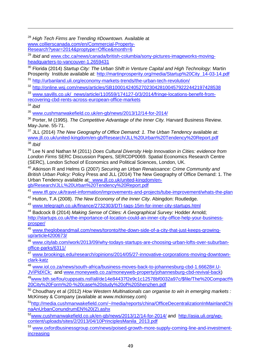<sup>28</sup> *High Tech Firms are Trending #Downtown.* Available at [www.collierscanada.com/en/Commercial-Property-](http://www.collierscanada.com/en/Commercial-Property-Research?year=2014&proptype=Office&month=6)[Research?year=2014&proptype=Office&month=6](http://www.collierscanada.com/en/Commercial-Property-Research?year=2014&proptype=Office&month=6)

<sup>29</sup> *Ibid* and [www.cbc.ca/news/canada/british-columbia/sony-pictures-imageworks-moving](http://www.cbc.ca/news/canada/british-columbia/sony-pictures-imageworks-moving-headquarters-to-vancouver-1.2659431)[headquarters-to-vancouver-1.2659431](http://www.cbc.ca/news/canada/british-columbia/sony-pictures-imageworks-moving-headquarters-to-vancouver-1.2659431)

<sup>30</sup> Florida (2014) *Startup City: The Urban Shift in Venture Capital and High Technology*: Martin Prosperity Institute available at: http://martinprosperity.org/media/Startup%20City 14-03-14.pdf

<sup>31</sup> <http://urbanland.uli.org/economy-markets-trends/the-urban-tech-revolution/>

<sup>32</sup> <http://online.wsj.com/news/articles/SB10001424052702304281004579222442197428538>

<sup>33</sup> [www.savills.co.uk/\\_news/article/110559/174127-0/3/2014/fringe-locations-benefit-from](http://www.savills.co.uk/_news/article/110559/174127-0/3/2014/fringe-locations-benefit-from-recovering-cbd-rents-across-european-office-markets)[recovering-cbd-rents-across-european-office-markets](http://www.savills.co.uk/_news/article/110559/174127-0/3/2014/fringe-locations-benefit-from-recovering-cbd-rents-across-european-office-markets)

<span id="page-47-0"></span><sup>34</sup> *ibid*

 $\overline{a}$ 

<span id="page-47-1"></span><sup>35</sup> [www.cushmanwakefield.co.uk/en-gb/news/2013/12/14-for-2014/](http://www.cushmanwakefield.co.uk/en-gb/news/2013/12/14-for-2014/)

<span id="page-47-2"></span><sup>36</sup> Porter, M (1995). *The Competitive Advantage of the Inner City.* Harvard Business Review. May-June. 55-71.

<span id="page-47-3"></span><sup>37</sup> JLL (2014) *The New Geography of Office Demand: 1. The Urban Tendency* available at: [www.jll.co.uk/united-kingdom/en-gb/Research/JLL%20Urban%20Tendency%20Report.pdf](http://www.jll.co.uk/united-kingdom/en-gb/Research/JLL%20Urban%20Tendency%20Report.pdf) <sup>38</sup> *Ibid*

<sup>39</sup> Lee N and Nathan M (2011) *Does Cultural Diversity Help Innovation in Cities: evidence from London Firms* SERC Discussion Papers, SERCDP0069. Spatial Economics Research Centre (SERC), London School of Economics and Political Sciences, London, UK.

<sup>40</sup> Atkinson R and Helms G (2007) *Securing an Urban Renaissance: Crime Community and British Urban Policy:* Policy Press and JLL (2014) The New Geography of Office Demand: 1. The Urban Tendency available at<u>: www.jll.co.uk/united-kingdom/en-</u> [gb/Research/JLL%20Urban%20Tendency%20Report.pdf](http://www.jll.co.uk/united-kingdom/en-gb/Research/JLL%20Urban%20Tendency%20Report.pdf)

[www.tfl.gov.uk/travel-information/improvements-and-projects/tube-improvement/whats-the-plan](https://www.tfl.gov.uk/travel-information/improvements-and-projects/tube-improvement/whats-the-plan)

<sup>42</sup> Hutton, T.A (2008). *The New Economy of the Inner City*. Abingdon: Routledge.

<sup>43</sup> [www.telegraph.co.uk/finance/2732303/DTI-tags-15m-for-inner-city-startups.html](http://www.telegraph.co.uk/finance/2732303/DTI-tags-15m-for-inner-city-startups.html)

<sup>44</sup> Badcock B (2014) *Making Sense of Cities: A Geographical Survey:* Hodder Arnold; [http://startups.co.uk/the-importance-of-location-could-an-inner-city-office-help-your-business](http://startups.co.uk/the-importance-of-location-could-an-inner-city-office-help-your-business-prosper/)[prosper/](http://startups.co.uk/the-importance-of-location-could-an-inner-city-office-help-your-business-prosper/)

<sup>45</sup> [www.theglobeandmail.com/news/toronto/the-down-side-of-a-city-that-just-keeps-growing](http://www.theglobeandmail.com/news/toronto/the-down-side-of-a-city-that-just-keeps-growing-up/article4200673/)[up/article4200673/](http://www.theglobeandmail.com/news/toronto/the-down-side-of-a-city-that-just-keeps-growing-up/article4200673/)

<sup>46</sup> [www.citylab.com/work/2013/09/why-todays-startups-are-choosing-urban-lofts-over-suburban](http://www.citylab.com/work/2013/09/why-todays-startups-are-choosing-urban-lofts-over-suburban-office-parks/6311/)[office-parks/6311/](http://www.citylab.com/work/2013/09/why-todays-startups-are-choosing-urban-lofts-over-suburban-office-parks/6311/)

<sup>47</sup> [www.brookings.edu/research/opinions/2014/05/27-innovative-corporations-moving-downtown](http://www.brookings.edu/research/opinions/2014/05/27-innovative-corporations-moving-downtown-clark-katz)[clark-katz](http://www.brookings.edu/research/opinions/2014/05/27-innovative-corporations-moving-downtown-clark-katz)

<sup>48</sup> [www.iol.co.za/news/south-africa/business-moves-back-to-johannesburg-cbd-1.66628#.U-](http://www.iol.co.za/news/south-africa/business-moves-back-to-johannesburg-cbd-1.66628%23.U-JViPldXCk)[JViPldXCk;](http://www.iol.co.za/news/south-africa/business-moves-back-to-johannesburg-cbd-1.66628%23.U-JViPldXCk) and [www.moneyweb.co.za/moneyweb-property/johannesburg-cbd-revival-back\)](http://www.moneyweb.co.za/moneyweb-property/johannesburg-cbd-revival-back)

[49www.bth.se/fou/cuppsats.nsf/all/de14e84437f2e9c1c12578bf0032a97c/\\$file/The%20Compact%](http://www.bth.se/fou/cuppsats.nsf/all/de14e84437f2e9c1c12578bf0032a97c/$file/The%20Compact%20City%20Form%20-%20case%20study%20of%20Shenzhen.pdf) [20City%20Form%20-%20case%20study%20of%20Shenzhen.pdf](http://www.bth.se/fou/cuppsats.nsf/all/de14e84437f2e9c1c12578bf0032a97c/$file/The%20Compact%20City%20Form%20-%20case%20study%20of%20Shenzhen.pdf)

<sup>50</sup> Choudhary et al (2012) *How Western Multinationals can organise to win in emerging markets :*  McKinsey & Company (available at www.mckinsey.com)

[51http://media.cushmanwakefield.com/~/media/reports/china/OfficeDecentralizationInMainlandChi](http://media.cushmanwakefield.com/%7E/media/reports/china/OfficeDecentralizationInMainlandChinaAnUrbanConundrumEN%20(2).ashx) [naAnUrbanConundrumEN%20\(2\).ashx](http://media.cushmanwakefield.com/%7E/media/reports/china/OfficeDecentralizationInMainlandChinaAnUrbanConundrumEN%20(2).ashx)

[52www.cushmanwakefield.co.uk/en-gb/news/2013/12/14-for-2014/](http://www.cushmanwakefield.co.uk/en-gb/news/2013/12/14-for-2014/) and [http://asia.uli.org/wp](http://asia.uli.org/wp-content/uploads/sites/2/2013/04/10PrinciplesManila_2013.pdf)[content/uploads/sites/2/2013/04/10PrinciplesManila\\_2013.pdf](http://asia.uli.org/wp-content/uploads/sites/2/2013/04/10PrinciplesManila_2013.pdf)

<sup>53</sup> [www.oxfordbusinessgroup.com/news/poised-growth-more-supply-coming-line-and-investment](http://www.oxfordbusinessgroup.com/news/poised-growth-more-supply-coming-line-and-investment-increasing)[increasing](http://www.oxfordbusinessgroup.com/news/poised-growth-more-supply-coming-line-and-investment-increasing)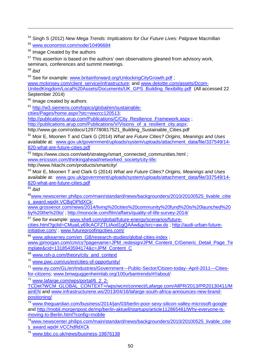<sup>54</sup> Singh S (2012) *New Mega Trends: Implications for Our Future Lives:* Palgrave Macmillan

<sup>55</sup> [www.economist.com/node/10496684](http://www.economist.com/node/10496684)

<sup>56</sup> Image Created by the authors

 $57$  This assertion is based on the authors' own observations gleaned from advisory work, seminars, conferences and summit meetings.

<sup>58</sup> *ibid*

 $\overline{a}$ 

<sup>59</sup> See for example: [www.britainforward.org/UnlockingCityGrowth.pdf](http://www.britainforward.org/UnlockingCityGrowth.pdf);

[www.mckinsey.com/client\\_service/infrastructure;](http://www.mckinsey.com/client_service/infrastructure) and [www.deloitte.com/assets/Dcom-](https://www.deloitte.com/assets/Dcom-UnitedKingdom/Local%20Assets/Documents/UK_GPS_Building_flexibility.pdf)[UnitedKingdom/Local%20Assets/Documents/UK\\_GPS\\_Building\\_flexibility.pdf](https://www.deloitte.com/assets/Dcom-UnitedKingdom/Local%20Assets/Documents/UK_GPS_Building_flexibility.pdf) (All accessed 22 September 2014)

<sup>60</sup> Image created by authors

<sup>61</sup> [http://w3.siemens.com/topics/global/en/sustainable-](http://w3.siemens.com/topics/global/en/sustainable-cities/Pages/home.aspx?stc=wwzcc120513)

[cities/Pages/home.aspx?stc=wwzcc120513;](http://w3.siemens.com/topics/global/en/sustainable-cities/Pages/home.aspx?stc=wwzcc120513)

[http://publications.arup.com/Publications/C/City\\_Resilience\\_Framework.aspx](http://publications.arup.com/Publications/C/City_Resilience_Framework.aspx) ;

[http://publications.arup.com/Publications/V/Visions\\_of\\_a\\_resilient\\_city.aspx;](http://publications.arup.com/Publications/V/Visions_of_a_resilient_city.aspx)

http://www.ge.com/ro/docs/1297780817521\_Building\_Sustainable\_Cities.pdf

<sup>62</sup> Moir E, Moonen T and Clark G (2014) *What are Future Cities? Origins, Meanings and Uses* available at: [www.gov.uk/government/uploads/system/uploads/attachment\\_data/file/337549/14-](https://www.gov.uk/government/uploads/system/uploads/attachment_data/file/337549/14-820-what-are-future-cities.pdf) [820-what-are-future-cities.pdf](https://www.gov.uk/government/uploads/system/uploads/attachment_data/file/337549/14-820-what-are-future-cities.pdf)

<span id="page-48-0"></span><sup>63</sup> https://www.cisco.com/web/strategy/smart\_connected\_communities.html;

<span id="page-48-1"></span>[www.ericsson.com/thinkingahead/networked\\_society/city-life;](http://www.ericsson.com/thinkingahead/networked_society/city-life)

http://www.hitachi.com/products/smartcity/

<span id="page-48-3"></span><span id="page-48-2"></span><sup>64</sup> Moir E, Moonen T and Clark G (2014) *What are Future Cities? Origins, Meanings and Uses* available at: [www.gov.uk/government/uploads/system/uploads/attachment\\_data/file/337549/14-](https://www.gov.uk/government/uploads/system/uploads/attachment_data/file/337549/14-820-what-are-future-cities.pdf) [820-what-are-future-cities.pdf](https://www.gov.uk/government/uploads/system/uploads/attachment_data/file/337549/14-820-what-are-future-cities.pdf)

<span id="page-48-4"></span><sup>65</sup> *ibid*

<span id="page-48-5"></span><sup>66</sup>www.newscenter.philips.com/main/standard/news/backgrounders/2010/20100525\_livable\_citie [s\\_award.wpd#.VCBqOPldXCk;](http://www.newscenter.philips.com/main/standard/news/backgrounders/2010/20100525_livable_cities_award.wpd%23.VCBqOPldXCk)

<span id="page-48-6"></span>[www.grosvenor.com/news/2014/living%20cities%20community%20fund%20is%20launched%20](http://www.grosvenor.com/news/2014/living%20cities%20community%20fund%20is%20launched%20by%20the%20lo/) [by%20the%20lo/](http://www.grosvenor.com/news/2014/living%20cities%20community%20fund%20is%20launched%20by%20the%20lo/) ;<http://monocle.com/film/affairs/quality-of-life-survey-2014/>

<sup>67</sup> See for example: [www.shell.com/global/future-energy/scenarios/future-](http://www.shell.com/global/future-energy/scenarios/future-cities.html?gclid=CMuaiLy69cACFZTLtAod1gQAAw&gclsrc=aw.ds)

<span id="page-48-7"></span>[cities.html?gclid=CMuaiLy69cACFZTLtAod1gQAAw&gclsrc=aw.ds](http://www.shell.com/global/future-energy/scenarios/future-cities.html?gclid=CMuaiLy69cACFZTLtAod1gQAAw&gclsrc=aw.ds) ; [http://audi-urban-future](http://audi-urban-future-initiative.com/)[initiative.com/](http://audi-urban-future-initiative.com/) ; [www.futureproofingcities.com/](http://www.futureproofingcities.com/)

<span id="page-48-8"></span>68 [www.atkearney.com/en\\_GB/research-studies/global-cities-index](http://www.atkearney.com/en_GB/research-studies/global-cities-index) ;

<span id="page-48-9"></span>[www.jpmorgan.com/cm/cs?pagename=JPM\\_redesign/JPM\\_Content\\_C/Generic\\_Detail\\_Page\\_Te](https://www.jpmorgan.com/cm/cs?pagename=JPM_redesign/JPM_Content_C/Generic_Detail_Page_Template&cid=1318543594174&c=JPM_Content_C) [mplate&cid=1318543594174&c=JPM\\_Content\\_C](https://www.jpmorgan.com/cm/cs?pagename=JPM_redesign/JPM_Content_C/Generic_Detail_Page_Template&cid=1318543594174&c=JPM_Content_C)

<sup>69</sup> [www.rsh-p.com/theory/city\\_and\\_context](http://www.rsh-p.com/theory/city_and_context)

<span id="page-48-10"></span><sup>70</sup> [www.pwc.com/us/en/cities-of-opportunity/](http://www.pwc.com/us/en/cities-of-opportunity/)

<span id="page-48-11"></span><sup>71</sup> [www.ey.com/GL/en/Industries/Government---Public-Sector/Citizen-today--April-2011---Cities](http://www.ey.com/GL/en/Industries/Government---Public-Sector/Citizen-today--April-2011---Cities-for-citizens)[for-citizens;](http://www.ey.com/GL/en/Industries/Government---Public-Sector/Citizen-today--April-2011---Cities-for-citizens) [www.bmwguggenheimlab.org/100urbantrends/#!/about/](http://www.bmwguggenheimlab.org/100urbantrends/%23!/about/)

<sup>72</sup> [www.lafarge.com/wps/portal/6\\_2\\_2-](http://www.lafarge.com/wps/portal/6_2_2-TCDet?WCM_GLOBAL_CONTEXT=/wps/wcm/connect/Lafarge.com/AllPR/2013/PR20130411/MainEN)

[TCDet?WCM\\_GLOBAL\\_CONTEXT=/wps/wcm/connect/Lafarge.com/AllPR/2013/PR20130411/M](http://www.lafarge.com/wps/portal/6_2_2-TCDet?WCM_GLOBAL_CONTEXT=/wps/wcm/connect/Lafarge.com/AllPR/2013/PR20130411/MainEN) [ainEN](http://www.lafarge.com/wps/portal/6_2_2-TCDet?WCM_GLOBAL_CONTEXT=/wps/wcm/connect/Lafarge.com/AllPR/2013/PR20130411/MainEN) and [www.infrastructurene.ws/2013/04/16/lafarge-south-africa-announces-new-brand](http://www.infrastructurene.ws/2013/04/16/lafarge-south-africa-announces-new-brand-positioning/)[positioning/](http://www.infrastructurene.ws/2013/04/16/lafarge-south-africa-announces-new-brand-positioning/)

73 www.thequardian.com/business/2014/jan/03/berlin-poor-sexy-silicon-valley-microsoft-google and [http://mobil.morgenpost.de/mp/berlin-aktuell/startups/article112865461/Why-everyone-is](http://mobil.morgenpost.de/mp/berlin-aktuell/startups/article112865461/Why-everyone-is-moving-to-Berlin.html?config=mobile)[moving-to-Berlin.html?config=mobile](http://mobil.morgenpost.de/mp/berlin-aktuell/startups/article112865461/Why-everyone-is-moving-to-Berlin.html?config=mobile)

[74www.newscenter.philips.com/main/standard/news/backgrounders/2010/20100525\\_livable\\_citie](http://www.newscenter.philips.com/main/standard/news/backgrounders/2010/20100525_livable_cities_award.wpd%23.VCChdfldXCk) [s\\_award.wpd#.VCChdfldXCk](http://www.newscenter.philips.com/main/standard/news/backgrounders/2010/20100525_livable_cities_award.wpd%23.VCChdfldXCk)

<sup>75</sup> [www.bbc.co.uk/news/business-19876138](http://www.bbc.co.uk/news/business-19876138)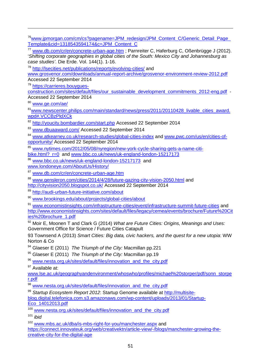- <span id="page-49-6"></span><sup>76</sup>www.jpmorgan.com/cm/cs?pagename=JPM\_redesign/JPM\_Content\_C/Generic\_Detail\_Page\_ [Template&cid=1318543594174&c=JPM\\_Content\\_C](https://www.jpmorgan.com/cm/cs?pagename=JPM_redesign/JPM_Content_C/Generic_Detail_Page_Template&cid=1318543594174&c=JPM_Content_C)
- <sup>77</sup> [www.db.com/cr/en/concrete-urban-age.htm](https://www.db.com/cr/en/concrete-urban-age.htm) ; Parnreiter C, Haferburg C, Oßenbrügge J (2012). '*Shifting corporate geographies in global cities of the South: Mexico City and Johannesburg as case studies'*. Die Erde. Vol. 144(1). 1-16.

<sup>78</sup> <http://lsecities.net/publications/reports/evolving-cities/> and

[www.grosvenor.com/downloads/annual-report-archive/grosvenor-environment-review-2012.pdf](http://www.grosvenor.com/downloads/annual-report-archive/grosvenor-environment-review-2012.pdf) Accessed 22 September 2014

<sup>79</sup> [https://carrieres.bouygues-](https://carrieres.bouygues-construction.com/sites/default/files/our_sustainable_development_commitments_2012-eng.pdf)

[construction.com/sites/default/files/our\\_sustainable\\_development\\_commitments\\_2012-eng.pdf](https://carrieres.bouygues-construction.com/sites/default/files/our_sustainable_development_commitments_2012-eng.pdf) -Accessed 22 September 2014

<sup>80</sup> [www.ge.com/ae/](http://www.ge.com/ae/)

 $\overline{a}$ 

<sup>81</sup>www.newscenter.philips.com/main/standard/news/press/2011/20110428\_livable\_cities\_award. [wpd#.VCCBzPldXCk](http://www.newscenter.philips.com/main/standard/news/press/2011/20110428_livable_cities_award.wpd%23.VCCBzPldXCk)

<sup>82</sup> <http://youcity.bombardier.com/start.php> Accessed 22 September 2014

83 [www.dbuaaward.com/](http://www.dbuaaward.com/) Accessed 22 September 2014

84 [www.atkearney.co.uk/research-studies/global-cities-index](http://www.atkearney.co.uk/research-studies/global-cities-index) and [www.pwc.com/us/en/cities-of](http://www.pwc.com/us/en/cities-of-opportunity/)[opportunity/](http://www.pwc.com/us/en/cities-of-opportunity/) Accessed 22 September 2014

<sup>85</sup> [www.nytimes.com/2012/05/08/nyregion/new-york-cycle-sharing-gets-a-name-citi-](http://www.nytimes.com/2012/05/08/nyregion/new-york-cycle-sharing-gets-a-name-citi-bike.html?_r=0)

bike.html? r=0 and [www.bbc.co.uk/news/uk-england-london-15217173](http://www.bbc.co.uk/news/uk-england-london-15217173)

<sup>86</sup> [www.bbc.co.uk/news/uk-england-london-15217173](http://www.bbc.co.uk/news/uk-england-london-15217173) and

[www.londoneye.com/AboutUs/History/](http://www.londoneye.com/AboutUs/History/)

<sup>87</sup> [www.db.com/cr/en/concrete-urban-age.htm](https://www.db.com/cr/en/concrete-urban-age.htm)

<sup>88</sup> [www.gensleron.com/cities/2014/4/28/future-gazing-city-vision-2050.html](http://www.gensleron.com/cities/2014/4/28/future-gazing-city-vision-2050.html) and

<http://cityvision2050.blogspot.co.uk/> Accessed 22 September 2014

<sup>89</sup> <http://audi-urban-future-initiative.com/about>

<sup>90</sup> [www.brookings.edu/about/projects/global-cities/about](http://www.brookings.edu/about/projects/global-cities/about)

91 [www.economistinsights.com/infrastructure-cities/event/infrastructure-summit-future-cities](http://www.economistinsights.com/infrastructure-cities/event/infrastructure-summit-future-cities) and [http://www.economistinsights.com/sites/default/files/legacy/cemea/events/brochure/Future%20Cit](http://www.economistinsights.com/sites/default/files/legacy/cemea/events/brochure/Future%20Cities%20brochure_1.pdf) [ies%20brochure\\_1.pdf](http://www.economistinsights.com/sites/default/files/legacy/cemea/events/brochure/Future%20Cities%20brochure_1.pdf)

<sup>92</sup> Moir E, Moonen T and Clark G (2014) *What are Future Cities: Origins, Meanings and Uses:*  Government Office for Science / Future Cities Catapult

93 Townsend A (2013) *Smart Cities: Big data, civic hackers, and the quest for a new utopia*: WW Norton & Co

<sup>94</sup> Glaeser E (2011) *The Triumph of the City:* Macmillan pp.221

<sup>95</sup> Glaeser E (2011) *The Triumph of the City:* Macmillan pp.19

<sup>96</sup> [www.nesta.org.uk/sites/default/files/innovation\\_and\\_the\\_city.pdf](http://www.nesta.org.uk/sites/default/files/innovation_and_the_city.pdf)

97 Available at:

<span id="page-49-0"></span>[www.lse.ac.uk/geographyandenvironment/whoswho/profiles/michael%20storper/pdf/sonn\\_storpe](http://www.lse.ac.uk/geographyandenvironment/whoswho/profiles/michael%20storper/pdf/sonn_storper.pdf) [r.pdf](http://www.lse.ac.uk/geographyandenvironment/whoswho/profiles/michael%20storper/pdf/sonn_storper.pdf)

<span id="page-49-1"></span><sup>98</sup> [www.nesta.org.uk/sites/default/files/innovation\\_and\\_the\\_city.pdf](http://www.nesta.org.uk/sites/default/files/innovation_and_the_city.pdf)

<span id="page-49-2"></span><sup>99</sup> *Startup Ecosystem Report 2012*: Startup Genome available at [http://multisite-](http://multisite-blog.digital.telefonica.com.s3.amazonaws.com/wp-content/uploads/2013/01/Startup-Eco_14012013.pdf)

<span id="page-49-4"></span><span id="page-49-3"></span>[blog.digital.telefonica.com.s3.amazonaws.com/wp-content/uploads/2013/01/Startup-](http://multisite-blog.digital.telefonica.com.s3.amazonaws.com/wp-content/uploads/2013/01/Startup-Eco_14012013.pdf)[Eco\\_14012013.pdf](http://multisite-blog.digital.telefonica.com.s3.amazonaws.com/wp-content/uploads/2013/01/Startup-Eco_14012013.pdf)

<sup>100</sup> [www.nesta.org.uk/sites/default/files/innovation\\_and\\_the\\_city.pdf](http://www.nesta.org.uk/sites/default/files/innovation_and_the_city.pdf)

<span id="page-49-5"></span><sup>101</sup> *ibid*

<sup>102</sup> [www.mbs.ac.uk/dba/is-mbs-right-for-you/manchester.aspx](http://www.mbs.ac.uk/dba/is-mbs-right-for-you/manchester.aspx) and [https://connect.innovateuk.org/web/creativektn/article-view/-/blogs/manchester-growing-the](https://connect.innovateuk.org/web/creativektn/article-view/-/blogs/manchester-growing-the-creative-city-for-the-digital-age)[creative-city-for-the-digital-age](https://connect.innovateuk.org/web/creativektn/article-view/-/blogs/manchester-growing-the-creative-city-for-the-digital-age)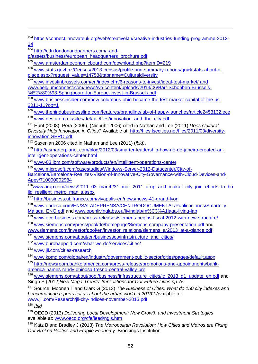<sup>103</sup> [https://connect.innovateuk.org/web/creativektn/creative-industries-funding-programme-2013-](https://connect.innovateuk.org/web/creativektn/creative-industries-funding-programme-2013-14) [14](https://connect.innovateuk.org/web/creativektn/creative-industries-funding-programme-2013-14)

<sup>104</sup> [http://cdn.londonandpartners.com/l-and-](http://cdn.londonandpartners.com/l-and-p/assets/business/european_headquarters_brochure.pdf)

 $\overline{a}$ 

<span id="page-50-0"></span>[p/assets/business/european\\_headquarters\\_brochure.pdf](http://cdn.londonandpartners.com/l-and-p/assets/business/european_headquarters_brochure.pdf)

<sup>105</sup> [www.amsterdameconomicboard.com/download.php?itemID=219](http://www.amsterdameconomicboard.com/download.php?itemID=219)

<span id="page-50-1"></span><sup>106</sup> [www.stats.govt.nz/Census/2013-census/profile-and-summary-reports/quickstats-about-a](http://www.stats.govt.nz/Census/2013-census/profile-and-summary-reports/quickstats-about-a-place.aspx?request_value=14758&tabname=Culturaldiversity)[place.aspx?request\\_value=14758&tabname=Culturaldiversity](http://www.stats.govt.nz/Census/2013-census/profile-and-summary-reports/quickstats-about-a-place.aspx?request_value=14758&tabname=Culturaldiversity)

<sup>107</sup> [www.investinbrussels.com/en/index.cfm/6-reasons-to-invest/ideal-test-market/](http://www.investinbrussels.com/en/index.cfm/6-reasons-to-invest/ideal-test-market/) and [www.belgiumconnect.com/news/wp-content/uploads/2013/06/Bart-Schobben-Brussels-](http://www.belgiumconnect.com/news/wp-content/uploads/2013/06/Bart-Schobben-Brussels-%E2%80%93-Springboard-for-Europe-Invest-in-Brussels.pdf) [%E2%80%93-Springboard-for-Europe-Invest-in-Brussels.pdf](http://www.belgiumconnect.com/news/wp-content/uploads/2013/06/Bart-Schobben-Brussels-%E2%80%93-Springboard-for-Europe-Invest-in-Brussels.pdf)

<sup>108</sup> [www.businessinsider.com/how-columbus-ohio-became-the-test-market-capital-of-the-us-](http://www.businessinsider.com/how-columbus-ohio-became-the-test-market-capital-of-the-us-2011-11?op=1)[2011-11?op=1](http://www.businessinsider.com/how-columbus-ohio-became-the-test-market-capital-of-the-us-2011-11?op=1)

<sup>109</sup> [www.thehindubusinessline.com/features/brandline/lab-of-happy-launches/article2453132.ece](http://www.thehindubusinessline.com/features/brandline/lab-of-happy-launches/article2453132.ece) <sup>110</sup> [www.nesta.org.uk/sites/default/files/innovation\\_and\\_the\\_city.pdf](http://www.nesta.org.uk/sites/default/files/innovation_and_the_city.pdf)

<sup>111</sup> Hunt (2008), Pera (2009), (Niebuhr 2006) cited in Nathan and Lee (2011) *Does Cultural Diversity Help Innovation in Cities?* Available at: [http://files.lsecities.net/files/2011/03/diversity](http://files.lsecities.net/files/2011/03/diversity-innovation-SERC.pdf)[innovation-SERC.pdf](http://files.lsecities.net/files/2011/03/diversity-innovation-SERC.pdf)

<sup>112</sup> Saxenian 2006 cited in Nathan and Lee (2011) (*ibid)*.

<sup>113</sup> [http://asmarterplanet.com/blog/2012/03/smarter-leadership-how-rio-de-janeiro-created-an](http://asmarterplanet.com/blog/2012/03/smarter-leadership-how-rio-de-janeiro-created-an-intelligent-operations-center.html)[intelligent-operations-center.html](http://asmarterplanet.com/blog/2012/03/smarter-leadership-how-rio-de-janeiro-created-an-intelligent-operations-center.html)

<sup>114</sup> [www-03.ibm.com/software/products/en/intelligent-operations-center](http://www-03.ibm.com/software/products/en/intelligent-operations-center)

<sup>115</sup> [www.microsoft.com/casestudies/Windows-Server-2012-Datacenter/City-of-](http://www.microsoft.com/casestudies/Windows-Server-2012-Datacenter/City-of-Barcelona/Barcelona-Realizes-Vision-of-Innovative-City-Governance-with-Cloud-Devices-and-Apps/710000002984)

[Barcelona/Barcelona-Realizes-Vision-of-Innovative-City-Governance-with-Cloud-Devices-and-](http://www.microsoft.com/casestudies/Windows-Server-2012-Datacenter/City-of-Barcelona/Barcelona-Realizes-Vision-of-Innovative-City-Governance-with-Cloud-Devices-and-Apps/710000002984)[Apps/710000002984](http://www.microsoft.com/casestudies/Windows-Server-2012-Datacenter/City-of-Barcelona/Barcelona-Realizes-Vision-of-Innovative-City-Governance-with-Cloud-Devices-and-Apps/710000002984)

<sup>116</sup>www.arup.com/news/2011\_03\_march/31\_mar\_2011\_arup\_and\_makati\_city\_join\_efforts\_to\_bu [ild\\_resilient\\_metro\\_manila.aspx](http://www.arup.com/news/2011_03_march/31_mar_2011_arup_and_makati_city_join_efforts_to_build_resilient_metro_manila.aspx)

<sup>117</sup> <http://business.ubifrance.com/vivapolis-en/news/news-41-grand-lyon>

<sup>118</sup> [www.endesa.com/EN/SALADEPRENSA/CENTRODOCUMENTAL/Publicaciones/Smartcity-](http://www.endesa.com/EN/SALADEPRENSA/CENTRODOCUMENTAL/Publicaciones/Smartcity-Malaga_ENG.pdf)[Malaga\\_ENG.pdf](http://www.endesa.com/EN/SALADEPRENSA/CENTRODOCUMENTAL/Publicaciones/Smartcity-Malaga_ENG.pdf) and [www.openlivinglabs.eu/livinglab/m%C3%A1laga-living-lab](http://www.openlivinglabs.eu/livinglab/m%C3%A1laga-living-lab)

<sup>119</sup> [www.eco-business.com/press-releases/siemens-begins-fiscal-2012-with-new-structure/](http://www.eco-business.com/press-releases/siemens-begins-fiscal-2012-with-new-structure/)

<sup>120</sup> [www.siemens.com/press/pool/de/homepage/Siemens-company-presentation.pdf](http://www.siemens.com/press/pool/de/homepage/Siemens-company-presentation.pdf) and

[www.siemens.com/investor/pool/en/investor\\_relations/siemens\\_ar2013\\_at-a-glance.pdf](http://www.siemens.com/investor/pool/en/investor_relations/siemens_ar2013_at-a-glance.pdf)

<sup>121</sup> [www.siemens.com/about/en/businesses/infrastructure\\_and\\_cities/](http://www.siemens.com/about/en/businesses/infrastructure_and_cities/)

<sup>122</sup> [www.burohappold.com/what-we-do/services/cities/](http://www.burohappold.com/what-we-do/services/cities/)

<sup>123</sup> [www.jll.com/cities-research](http://www.jll.com/cities-research)

<sup>124</sup> [www.kpmg.com/global/en/industry/government-public-sector/cities/pages/default.aspx](http://www.kpmg.com/global/en/industry/government-public-sector/cities/pages/default.aspx)

<sup>125</sup> [http://newsroom.bankofamerica.com/press-release/promotions-and-appointments/bank](http://newsroom.bankofamerica.com/press-release/promotions-and-appointments/bank-america-names-randy-dhindsa-fresno-central-valley-pre)[america-names-randy-dhindsa-fresno-central-valley-pre](http://newsroom.bankofamerica.com/press-release/promotions-and-appointments/bank-america-names-randy-dhindsa-fresno-central-valley-pre)

<sup>126</sup> [www.siemens.com/about/pool/business/infrastructure\\_cities/ic\\_2013\\_q1\\_update\\_en.pdf](http://www.siemens.com/about/pool/business/infrastructure_cities/ic_2013_q1_update_en.pdf) and Singh S (2012)*New Mega-Trends: Implications for Our Future Lives pp.75*

<sup>127</sup> Source: Moonen T and Clark G (2013) *The Business of Cities: What do 150 city indexes and benchmarking reports tell us about the urban world in 2013?* Available at: [www.jll.com/Research/jll-city-indices-november-2013.pdf](http://www.jll.com/Research/jll-city-indices-november-2013.pdf)

<sup>128</sup> *Ibid*

<sup>129</sup> OECD (2013) *Delivering Local Development: New Growth and Investment Strategies* available at: [www.oecd.org/cfe/leed/ngis.htm](http://www.oecd.org/cfe/leed/ngis.htm)

<sup>130</sup> Katz B and Bradley J (2013) *The Metropolitan Revolution: How Cities and Metros are Fixing Our Broken Politics and Fragile Economy:* Brookings Institution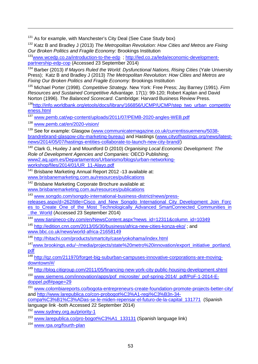<sup>131</sup> As for example, with Manchester's City Deal (See Case Study box)

<sup>132</sup> Katz B and Bradley J (2013) *The Metropolitan Revolution: How Cities and Metros are Fixing Our Broken Politics and Fragile Economy:* Brookings Institution

133www.wcedp.co.za/introduction-to-the-edp; [http://led.co.za/leda/economic-development](http://led.co.za/leda/economic-development-partnership-edp-cop)[partnership-edp-cop](http://led.co.za/leda/economic-development-partnership-edp-cop) (Accessed 23 September 2014)

<sup>134</sup> Barber (2013) *If Mayors Ruled the World: Dysfunctional Nations, Rising Cities* (Yale University Press); Katz B and Bradley J (2013) *The Metropolitan Revolution: How Cities and Metros are Fixing Our Broken Politics and Fragile Economy:* Brookings Institution

<span id="page-51-2"></span><span id="page-51-1"></span><span id="page-51-0"></span><sup>135</sup> Michael Porter (1998). *Competitive Strategy*. New York: Free Press; Jay Barney (1991). *Firm Resources and Sustained Competitive Advantage*. 17(1): 99-120; Robert Kaplan and David Norton (1996). *The Balanced Scorecard*. Cambridge: Harvard Business Review Press.

<span id="page-51-3"></span><sup>136</sup>http://info.worldbank.org/etools/docs/library/166856/UCMP/UCMP/step\_two\_urban\_competitiv eness.html

<span id="page-51-4"></span><sup>137</sup> [www.pemb.cat/wp-content/uploads/2011/07/PEMB-2020-angles-WEB.pdf](http://www.pemb.cat/wp-content/uploads/2011/07/PEMB-2020-angles-WEB.pdf)

<span id="page-51-5"></span><sup>138</sup> [www.pemb.cat/en/2020-vision/](http://www.pemb.cat/en/2020-vision/)

 $\overline{a}$ 

<span id="page-51-6"></span><sup>139</sup> See for example: Glasgow [\(www.communicatemagazine.co.uk/currentissuemenu/5038](http://www.communicatemagazine.co.uk/currentissuemenu/5038-brandrebrand-glasgow-city-marketing-bureau) [brandrebrand-glasgow-city-marketing-bureau\)](http://www.communicatemagazine.co.uk/currentissuemenu/5038-brandrebrand-glasgow-city-marketing-bureau) and Hastings [\(www.cityofhastings.org/news/latest](http://www.cityofhastings.org/news/latest-news/2014/05/07/hastings-entities-collaborate-to-launch-new-city-brand/)[news/2014/05/07/hastings-entities-collaborate-to-launch-new-city-brand/\)](http://www.cityofhastings.org/news/latest-news/2014/05/07/hastings-entities-collaborate-to-launch-new-city-brand/)

<span id="page-51-8"></span><span id="page-51-7"></span><sup>140</sup> Clark G, Huxley J and Mountford D (2010) *Organising Local Economic Development: The Role of Development Agencies and Companies:* OECD Publishing; www2.aq.upm.es/Departamentos/Urbanismo/blogs/urban-networking-<br>workshop/files/2014/01/UR\_11-Alavo.pdf

<sup>141</sup> Brisbane Marketing Annual Report 2012 -13 available at:<br>www.brisbanemarketing.com.au/resources/publications

<sup>142</sup> Brisbane Marketing Corporate Brochure available at:<br>www.brisbanemarketing.com.au/resources/publications

www.brisbanemarketing.com.au/resources/publications<br><sup>143</sup> [www.songdo.com/songdo-international-business-district/news/press-](http://www.songdo.com/songdo-international-business-district/news/press-releases.aspx/d=262/title=Cisco_and_New_Songdo_International_City_Development_Join_Forces_to_Create_One_of_the_Most_Technologically_Advanced_SmartConnected_Communities_in_the_World)

[releases.aspx/d=262/title=Cisco\\_and\\_New\\_Songdo\\_International\\_City\\_Development\\_Join\\_Forc](http://www.songdo.com/songdo-international-business-district/news/press-releases.aspx/d=262/title=Cisco_and_New_Songdo_International_City_Development_Join_Forces_to_Create_One_of_the_Most_Technologically_Advanced_SmartConnected_Communities_in_the_World) [es\\_to\\_Create\\_One\\_of\\_the\\_Most\\_Technologically\\_Advanced\\_SmartConnected\\_Communities\\_in](http://www.songdo.com/songdo-international-business-district/news/press-releases.aspx/d=262/title=Cisco_and_New_Songdo_International_City_Development_Join_Forces_to_Create_One_of_the_Most_Technologically_Advanced_SmartConnected_Communities_in_the_World) the World (Accessed 23 September 2014)

<sup>144</sup> [www.tianjineco-city.com/en/NewsContent.aspx?news\\_id=12311&column\\_id=10349](http://www.tianjineco-city.com/en/NewsContent.aspx?news_id=12311&column_id=10349)

<sup>145</sup> <http://edition.cnn.com/2013/05/30/business/africa-new-cities-konza-eko/> ; and [www.bbc.co.uk/news/world-africa-21658149](http://www.bbc.co.uk/news/world-africa-21658149)

<sup>146</sup> <http://hitachi.com/products/smartcity/case/yokohama/index.html>

<sup>147</sup>www.brookings.edu/~/media/projects/state%20metro%20innovation/export\_initiative\_portland. [pdf](http://www.brookings.edu/%7E/media/projects/state%20metro%20innovation/export_initiative_portland.pdf)

<sup>148</sup> [http://qz.com/211970/forget-big-suburban-campuses-innovative-corporations-are-moving](http://qz.com/211970/forget-big-suburban-campuses-innovative-corporations-are-moving-downtown/%23/)[downtown/#/](http://qz.com/211970/forget-big-suburban-campuses-innovative-corporations-are-moving-downtown/%23/)

<sup>149</sup> <http://blog.citigroup.com/2011/05/financing-new-york-city-public-housing-development.shtml> <sup>150</sup> [www.siemens.com/innovation/apps/pof\\_microsite/\\_pof-spring-2014/\\_pdf/PoF-1-2014-E](http://www.siemens.com/innovation/apps/pof_microsite/_pof-spring-2014/_pdf/PoF-1-2014-E-doppel.pdf%23page=29)[doppel.pdf#page=29](http://www.siemens.com/innovation/apps/pof_microsite/_pof-spring-2014/_pdf/PoF-1-2014-E-doppel.pdf%23page=29)

<sup>151</sup> [www.colombiareports.co/bogota-entrepreneurs-create-foundation-promote-projects-better-city/](http://www.colombiareports.co/bogota-entrepreneurs-create-foundation-promote-projects-better-city/) and [http://www.larepublica.co/con-probogot%C3%A1-regi%C3%B3n-34](http://www.larepublica.co/con-probogot%C3%A1-regi%C3%B3n-34-compa%C3%B1%C3%ADas-se-le-miden-repensar-el-futuro-de-la-capital_131771) [compa%C3%B1%C3%ADas-se-le-miden-repensar-el-futuro-de-la-capital\\_131771](http://www.larepublica.co/con-probogot%C3%A1-regi%C3%B3n-34-compa%C3%B1%C3%ADas-se-le-miden-repensar-el-futuro-de-la-capital_131771) (Spanish

language link -both Accessed 22 September 2014)

<sup>152</sup> www.sydney.org.au/priority-1<br><sup>153</sup> [www.larepublica.co/pro-bogot%C3%A1\\_133131](http://www.larepublica.co/pro-bogot%C3%A1_133131) (Spanish language link)

<sup>154</sup> [www.rpa.org/fourth-plan](http://www.rpa.org/fourth-plan)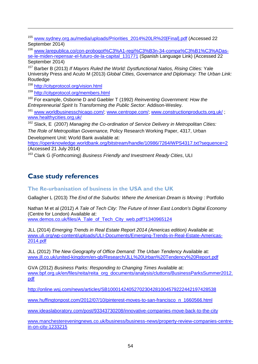<sup>155</sup> [www.sydney.org.au/media/uploads/Priorities\\_2014%20LR%20\[Final\].pdf](http://www.sydney.org.au/media/uploads/Priorities_2014%20LR%20%5bFinal%5d.pdf) (Accessed 22 September 2014)

<sup>156</sup> [www.larepublica.co/con-probogot%C3%A1-regi%C3%B3n-34-compa%C3%B1%C3%ADas](http://www.larepublica.co/con-probogot%C3%A1-regi%C3%B3n-34-compa%C3%B1%C3%ADas-se-le-miden-repensar-el-futuro-de-la-capital_131771)[se-le-miden-repensar-el-futuro-de-la-capital\\_131771](http://www.larepublica.co/con-probogot%C3%A1-regi%C3%B3n-34-compa%C3%B1%C3%ADas-se-le-miden-repensar-el-futuro-de-la-capital_131771) (Spanish Language Link) (Accessed 22 September 2014)

<sup>157</sup> Barber B (2013) *If Mayors Ruled the World: Dystfunctional Natios, Rising Cities:* Yale University Press and Acuto M (2013) *Global Cities, Governance and Diplomacy: The Urban Link:*  **Routledge** 

<sup>158</sup> <http://cityprotocol.org/vision.html>

 $\overline{a}$ 

<sup>159</sup> <http://cityprotocol.org/members.html>

<sup>160</sup> For example, Osborne D and Gaebler T (1992) *Reinventing Government: How the Entrepreneurial Spirit Is Transforming the Public Sector*: Addison-Wesley.

<sup>161</sup> [www.worldbusinesschicago.com/;](http://www.worldbusinesschicago.com/) [www.centrope.com/;](http://www.centrope.com/) [www.constructionproducts.org.uk/](http://www.constructionproducts.org.uk/); [www.healthycities.org.uk/](http://www.healthycities.org.uk/)

<sup>162</sup> Slack, E (2007) *Managing the Co-ordination of Service Delivery in Metropolitan Cities:* 

*The Role of Metropolitan Governance,* Policy Research Working Paper, 4317, Urban Development Unit: World Bank available at:

<https://openknowledge.worldbank.org/bitstream/handle/10986/7264/WPS4317.txt?sequence=2> (Accessed 21 July 2014)

<sup>163</sup> Clark G (Forthcoming) *Business Friendly and Investment Ready Cities*, ULI

## <span id="page-52-0"></span>**Case study references**

<span id="page-52-1"></span>**The Re-urbanisation of business in the USA and the UK** 

<span id="page-52-2"></span>Gallagher L (2013) *The End of the Suburbs: Where the American Dream is Moving* : Portfolio

<span id="page-52-4"></span><span id="page-52-3"></span>Nathan M et al (2012) *A Tale of Tech City: The Future of Inner East London's Digital Economy* (Centre for London) Available at:

[www.demos.co.uk/files/A\\_Tale\\_of\\_Tech\\_City\\_web.pdf?1340965124](http://www.demos.co.uk/files/A_Tale_of_Tech_City_web.pdf?1340965124)

<span id="page-52-5"></span>JLL (2014) *Emerging Trends in Real Estate Report 2014 (Americas edition)* Available at: [www.uli.org/wp-content/uploads/ULI-Documents/Emerging-Trends-in-Real-Estate-Americas-](http://www.uli.org/wp-content/uploads/ULI-Documents/Emerging-Trends-in-Real-Estate-Americas-2014.pdf)[2014.pdf](http://www.uli.org/wp-content/uploads/ULI-Documents/Emerging-Trends-in-Real-Estate-Americas-2014.pdf)

JLL (2012) *The New Geography of Office Demand: The Urban Tendency* Available at: [www.jll.co.uk/united-kingdom/en-gb/Research/JLL%20Urban%20Tendency%20Report.pdf](http://www.jll.co.uk/united-kingdom/en-gb/Research/JLL%20Urban%20Tendency%20Report.pdf)

GVA (2012) *Business Parks: Responding to Changing Times* Available at: [www.bpf.org.uk/en/files/reita/reita\\_org\\_documents/analysis/cluttons/BusinessParksSummer2012.](http://www.bpf.org.uk/en/files/reita/reita_org_documents/analysis/cluttons/BusinessParksSummer2012.pdf) [pdf](http://www.bpf.org.uk/en/files/reita/reita_org_documents/analysis/cluttons/BusinessParksSummer2012.pdf)

<http://online.wsj.com/news/articles/SB10001424052702304281004579222442197428538>

[www.huffingtonpost.com/2012/07/10/pinterest-moves-to-san-francisco\\_n\\_1660566.html](http://www.huffingtonpost.com/2012/07/10/pinterest-moves-to-san-francisco_n_1660566.html)

[www.ideaslaboratory.com/post/93343730208/innovative-companies-move-back-to-the-city](http://www.ideaslaboratory.com/post/93343730208/innovative-companies-move-back-to-the-city)

[www.manchestereveningnews.co.uk/business/business-news/property-review-companies-centre](http://www.manchestereveningnews.co.uk/business/business-news/property-review-companies-centre-in-on-city-1233215)[in-on-city-1233215](http://www.manchestereveningnews.co.uk/business/business-news/property-review-companies-centre-in-on-city-1233215)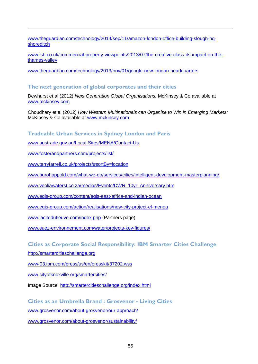<span id="page-53-9"></span><span id="page-53-8"></span>[www.theguardian.com/technology/2014/sep/11/amazon-london-office-building-slough-hq](http://www.theguardian.com/technology/2014/sep/11/amazon-london-office-building-slough-hq-shoreditch)[shoreditch](http://www.theguardian.com/technology/2014/sep/11/amazon-london-office-building-slough-hq-shoreditch)

[www.lsh.co.uk/commercial-property-viewpoints/2013/07/the-creative-class-its-impact-on-the](http://www.lsh.co.uk/commercial-property-viewpoints/2013/07/the-creative-class-its-impact-on-the-thames-valley)[thames-valley](http://www.lsh.co.uk/commercial-property-viewpoints/2013/07/the-creative-class-its-impact-on-the-thames-valley)

[www.theguardian.com/technology/2013/nov/01/google-new-london-headquarters](http://www.theguardian.com/technology/2013/nov/01/google-new-london-headquarters)

## **The next generation of global corporates and their cities**

Dewhurst et al (2012) *Next Generation Global Organisations:* McKinsey & Co available at [www.mckinsey.com](http://www.mckinsey.com/)

Choudhary et al (2012) *How Western Multinationals can Organise to Win in Emerging Markets:*  McKinsey & Co available at [www.mckinsey.com](http://www.mckinsey.com/)

## **Tradeable Urban Services in Sydney London and Paris**

[www.austrade.gov.au/Local-Sites/MENA/Contact-Us](https://www.austrade.gov.au/Local-Sites/MENA/Contact-Us)

[www.fosterandpartners.com/projects/list/](http://www.fosterandpartners.com/projects/list/) 

 $\overline{a}$ 

[www.terryfarrell.co.uk/projects/#sortBy=location](http://www.terryfarrell.co.uk/projects/%23sortBy=location)

[www.burohappold.com/what-we-do/services/cities/intelligent-development-masterplanning/](http://www.burohappold.com/what-we-do/services/cities/intelligent-development-masterplanning/)

[www.veoliawaterst.co.za/medias/Events/DWR\\_10yr\\_Anniversary.htm](http://www.veoliawaterst.co.za/medias/Events/DWR_10yr_Anniversary.htm)

[www.egis-group.com/content/egis-east-africa-and-indian-ocean](http://www.egis-group.com/content/egis-east-africa-and-indian-ocean)

[www.egis-group.com/action/realisations/new-city-project-el-menea](http://www.egis-group.com/action/realisations/new-city-project-el-menea)

[www.lacitedufleuve.com/index.php](http://www.lacitedufleuve.com/index.php) (Partners page)

[www.suez-environnement.com/water/projects-key-figures/](http://www.suez-environnement.com/water/projects-key-figures/)

## <span id="page-53-0"></span>**Cities as Corporate Social Responsibility: IBM Smarter Cities Challenge**

<span id="page-53-1"></span>[http://smartercitieschallenge.org](http://smartercitieschallenge.org/)

<span id="page-53-2"></span>[www-03.ibm.com/press/us/en/presskit/37202.wss](https://www-03.ibm.com/press/us/en/presskit/37202.wss)

<span id="page-53-3"></span>[www.cityofknoxville.org/smartercities/](http://www.cityofknoxville.org/smartercities/)

<span id="page-53-4"></span>Image Source:<http://smartercitieschallenge.org/index.html>

<span id="page-53-5"></span>**Cities as an Umbrella Brand : Grosvenor - Living Cities** 

<span id="page-53-6"></span>[www.grosvenor.com/about-grosvenor/our-approach/](http://www.grosvenor.com/about-grosvenor/our-approach/)

<span id="page-53-7"></span>[www.grosvenor.com/about-grosvenor/sustainability/](http://www.grosvenor.com/about-grosvenor/sustainability/)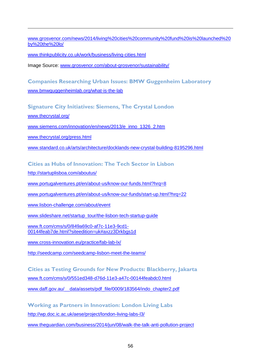[www.grosvenor.com/news/2014/living%20cities%20community%20fund%20is%20launched%20](http://www.grosvenor.com/news/2014/living%20cities%20community%20fund%20is%20launched%20by%20the%20lo/) [by%20the%20lo/](http://www.grosvenor.com/news/2014/living%20cities%20community%20fund%20is%20launched%20by%20the%20lo/)

<span id="page-54-0"></span>[www.thinkpublicity.co.uk/work/business/living-cities.html](http://www.thinkpublicity.co.uk/work/business/living-cities.html)

Image Source: [www.grosvenor.com/about-grosvenor/sustainability/](http://www.grosvenor.com/about-grosvenor/sustainability/)

**Companies Researching Urban Issues: BMW Guggenheim Laboratory** [www.bmwguggenheimlab.org/what-is-the-lab](http://www.bmwguggenheimlab.org/what-is-the-lab)

**Signature City Initiatives: Siemens, The Crystal London**

[www.thecrystal.org/](http://www.thecrystal.org/) 

 $\overline{a}$ 

[www.siemens.com/innovation/en/news/2013/e\\_inno\\_1326\\_2.htm](http://www.siemens.com/innovation/en/news/2013/e_inno_1326_2.htm)

[www.thecrystal.org/press.html](http://www.thecrystal.org/press.html)

[www.standard.co.uk/arts/architecture/docklands-new-crystal-building-8195296.html](http://www.standard.co.uk/arts/architecture/docklands-new-crystal-building-8195296.html)

**Cities as Hubs of Innovation: The Tech Sector in Lisbon**

<http://startuplisboa.com/aboutus/>

[www.portugalventures.pt/en/about-us/know-our-funds.html?hrq=8](http://www.portugalventures.pt/en/about-us/know-our-funds.html?hrq=8)

[www.portugalventures.pt/en/about-us/know-our-funds/start-up.html?hrq=22](http://www.portugalventures.pt/en/about-us/know-our-funds/start-up.html?hrq=22)

[www.lisbon-challenge.com/about/event](http://www.lisbon-challenge.com/about/event)

[www.slideshare.net/startup\\_tour/the-lisbon-tech-startup-guide](http://www.slideshare.net/startup_tour/the-lisbon-tech-startup-guide)

[www.ft.com/cms/s/0/849a69c0-af7c-11e3-9cd1-](http://www.ft.com/cms/s/0/849a69c0-af7c-11e3-9cd1-00144feab7de.html?siteedition=uk%23axzz3Drkbgs1d) [00144feab7de.html?siteedition=uk#axzz3Drkbgs1d](http://www.ft.com/cms/s/0/849a69c0-af7c-11e3-9cd1-00144feab7de.html?siteedition=uk%23axzz3Drkbgs1d)

[www.cross-innovation.eu/practice/fab-lab-lx/](http://www.cross-innovation.eu/practice/fab-lab-lx/)

<http://seedcamp.com/seedcamp-lisbon-meet-the-teams/>

**Cities as Testing Grounds for New Products: Blackberry, Jakarta** [www.ft.com/cms/s/0/551ed348-d76d-11e3-a47c-00144feabdc0.html](http://www.ft.com/cms/s/0/551ed348-d76d-11e3-a47c-00144feabdc0.html) www.daff.gov.au/ data/assets/pdf file/0009/183564/indo chapter2.pdf

**Working as Partners in Innovation: London Living Labs** <http://wp.doc.ic.ac.uk/aese/project/london-living-labs-l3/>

[www.theguardian.com/business/2014/jun/08/walk-the-talk-anti-pollution-project](http://www.theguardian.com/business/2014/jun/08/walk-the-talk-anti-pollution-project)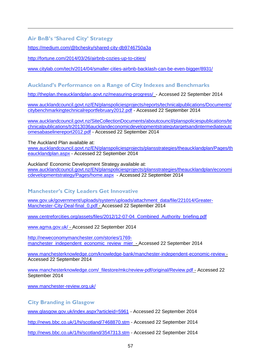## **Air BnB's 'Shared City' Strategy**

 $\overline{a}$ 

<https://medium.com/@bchesky/shared-city-db9746750a3a>

<span id="page-55-0"></span><http://fortune.com/2014/03/26/airbnb-cozies-up-to-cities/>

<span id="page-55-1"></span>[www.citylab.com/tech/2014/04/smaller-cities-airbnb-backlash-can-be-even-bigger/8931/](http://www.citylab.com/tech/2014/04/smaller-cities-airbnb-backlash-can-be-even-bigger/8931/)

## <span id="page-55-2"></span>**Auckland's Performance on a Range of City Indexes and Benchmarks**

<http://theplan.theaucklandplan.govt.nz/measuring-progress/>- Accessed 22 September 2014

<span id="page-55-4"></span><span id="page-55-3"></span>[www.aucklandcouncil.govt.nz/EN/planspoliciesprojects/reports/technicalpublications/Documents/](http://www.aucklandcouncil.govt.nz/EN/planspoliciesprojects/reports/technicalpublications/Documents/citybenchmarkingtechnicalreportfebruary2012.pdf) [citybenchmarkingtechnicalreportfebruary2012.pdf](http://www.aucklandcouncil.govt.nz/EN/planspoliciesprojects/reports/technicalpublications/Documents/citybenchmarkingtechnicalreportfebruary2012.pdf) - Accessed 22 September 2014

[www.aucklandcouncil.govt.nz/SiteCollectionDocuments/aboutcouncil/planspoliciespublications/te](http://www.aucklandcouncil.govt.nz/SiteCollectionDocuments/aboutcouncil/planspoliciespublications/technicalpublications/tr2013036aucklandeconomicdevelopmentstrategytargetsandintermediateoutcomesabaselinereport2012.pdf) [chnicalpublications/tr2013036aucklandeconomicdevelopmentstrategytargetsandintermediateoutc](http://www.aucklandcouncil.govt.nz/SiteCollectionDocuments/aboutcouncil/planspoliciespublications/technicalpublications/tr2013036aucklandeconomicdevelopmentstrategytargetsandintermediateoutcomesabaselinereport2012.pdf) [omesabaselinereport2012.pdf](http://www.aucklandcouncil.govt.nz/SiteCollectionDocuments/aboutcouncil/planspoliciespublications/technicalpublications/tr2013036aucklandeconomicdevelopmentstrategytargetsandintermediateoutcomesabaselinereport2012.pdf) - Accessed 22 September 2014

<span id="page-55-5"></span>The Auckland Plan available at:

[www.aucklandcouncil.govt.nz/EN/planspoliciesprojects/plansstrategies/theaucklandplan/Pages/th](http://www.aucklandcouncil.govt.nz/EN/planspoliciesprojects/plansstrategies/theaucklandplan/Pages/theaucklandplan.aspx) [eaucklandplan.aspx](http://www.aucklandcouncil.govt.nz/EN/planspoliciesprojects/plansstrategies/theaucklandplan/Pages/theaucklandplan.aspx) - Accessed 22 September 2014

Auckland' Economic Development Strategy available at: [www.aucklandcouncil.govt.nz/EN/planspoliciesprojects/plansstrategies/theaucklandplan/economi](http://www.aucklandcouncil.govt.nz/EN/planspoliciesprojects/plansstrategies/theaucklandplan/economicdevelopmentstrategy/Pages/home.aspx) [cdevelopmentstrategy/Pages/home.aspx](http://www.aucklandcouncil.govt.nz/EN/planspoliciesprojects/plansstrategies/theaucklandplan/economicdevelopmentstrategy/Pages/home.aspx) - Accessed 22 September 2014

## **Manchester's City Leaders Get Innovative**

[www.gov.uk/government/uploads/system/uploads/attachment\\_data/file/221014/Greater-](https://www.gov.uk/government/uploads/system/uploads/attachment_data/file/221014/Greater-Manchester-City-Deal-final_0.pdf)[Manchester-City-Deal-final\\_0.pdf](https://www.gov.uk/government/uploads/system/uploads/attachment_data/file/221014/Greater-Manchester-City-Deal-final_0.pdf) - Accessed 22 September 2014

www.centreforcities.org/assets/files/2012/12-07-04 Combined Authority briefing.pdf

[www.agma.gov.uk/](http://www.agma.gov.uk/) - Accessed 22 September 2014

[http://neweconomymanchester.com/stories/1769](http://neweconomymanchester.com/stories/1769-manchester_independent_economic_review_mier) [manchester\\_independent\\_economic\\_review\\_mier](http://neweconomymanchester.com/stories/1769-manchester_independent_economic_review_mier) - Accessed 22 September 2014

[www.manchesterknowledge.com/knowledge-bank/manchester-independent-economic-review](http://www.manchesterknowledge.com/knowledge-bank/manchester-independent-economic-review) - Accessed 22 September 2014

[www.manchesterknowledge.com/\\_filestore/mkc/review-pdf/original/Review.pdf](http://www.manchesterknowledge.com/_filestore/mkc/review-pdf/original/Review.pdf) - Accessed 22 September 2014

[www.manchester-review.org.uk/](http://www.manchester-review.org.uk/)

**City Branding in Glasgow**

[www.glasgow.gov.uk/index.aspx?articleid=5961](https://www.glasgow.gov.uk/index.aspx?articleid=5961) - Accessed 22 September 2014

<http://news.bbc.co.uk/1/hi/scotland/7468870.stm> - Accessed 22 September 2014

<http://news.bbc.co.uk/1/hi/scotland/3547313.stm> - Accessed 22 September 2014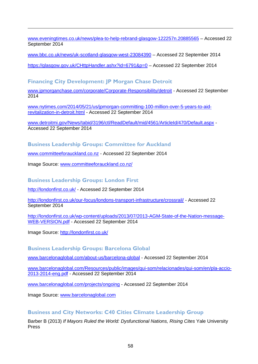[www.eveningtimes.co.uk/news/plea-to-help-rebrand-glasgow-122257n.20885565](http://www.eveningtimes.co.uk/news/plea-to-help-rebrand-glasgow-122257n.20885565) – Accessed 22 September 2014

[www.bbc.co.uk/news/uk-scotland-glasgow-west-23084390](http://www.bbc.co.uk/news/uk-scotland-glasgow-west-23084390-) – Accessed 22 September 2014

<https://glasgow.gov.uk/CHttpHandler.ashx?id=6791&p=0> – Accessed 22 September 2014

## **Financing City Development: JP Morgan Chase Detroit**

[www.jpmorganchase.com/corporate/Corporate-Responsibility/detroit](http://www.jpmorganchase.com/corporate/Corporate-Responsibility/detroit) - Accessed 22 September 2014

[www.nytimes.com/2014/05/21/us/jpmorgan-committing-100-million-over-5-years-to-aid](http://www.nytimes.com/2014/05/21/us/jpmorgan-committing-100-million-over-5-years-to-aid-revitalization-in-detroit.html)[revitalization-in-detroit.html](http://www.nytimes.com/2014/05/21/us/jpmorgan-committing-100-million-over-5-years-to-aid-revitalization-in-detroit.html) - Accessed 22 September 2014

[www.detroitmi.gov/News/tabid/3196/ctl/ReadDefault/mid/4561/ArticleId/470/Default.aspx](http://www.detroitmi.gov/News/tabid/3196/ctl/ReadDefault/mid/4561/ArticleId/470/Default.aspx) - Accessed 22 September 2014

**Business Leadership Groups: Committee for Auckland**

<span id="page-56-0"></span>[www.committeeforauckland.co.nz](http://www.committeeforauckland.co.nz/) - Accessed 22 September 2014

<span id="page-56-1"></span>Image Source: [www.committeeforauckland.co.nz/](http://www.committeeforauckland.co.nz/)

 $\overline{a}$ 

**Business Leadership Groups: London First**

<span id="page-56-2"></span><http://londonfirst.co.uk/> - Accessed 22 September 2014

<span id="page-56-3"></span><http://londonfirst.co.uk/our-focus/londons-transport-infrastructure/crossrail/> - Accessed 22 September 2014

<span id="page-56-4"></span>[http://londonfirst.co.uk/wp-content/uploads/2013/07/2013-AGM-State-of-the-Nation-message-](http://londonfirst.co.uk/wp-content/uploads/2013/07/2013-AGM-State-of-the-Nation-message-WEB-VERSION.pdf)[WEB-VERSION.pdf](http://londonfirst.co.uk/wp-content/uploads/2013/07/2013-AGM-State-of-the-Nation-message-WEB-VERSION.pdf) - Accessed 22 September 2014

<span id="page-56-5"></span>Image Source:<http://londonfirst.co.uk/>

**Business Leadership Groups: Barcelona Global**

<span id="page-56-7"></span><span id="page-56-6"></span>[www.barcelonaglobal.com/about-us/barcelona-global](http://www.barcelonaglobal.com/about-us/barcelona-global) - Accessed 22 September 2014

<span id="page-56-8"></span>[www.barcelonaglobal.com/Resources/public/images/qui-som/relacionades/qui-som/en/pla-accio-](http://www.barcelonaglobal.com/Resources/public/images/qui-som/relacionades/qui-som/en/pla-accio-2013-2014-eng.pdf)[2013-2014-eng.pdf](http://www.barcelonaglobal.com/Resources/public/images/qui-som/relacionades/qui-som/en/pla-accio-2013-2014-eng.pdf) - Accessed 22 September 2014

<span id="page-56-9"></span>[www.barcelonaglobal.com/projects/ongoing](http://www.barcelonaglobal.com/projects/ongoing) - Accessed 22 September 2014

<span id="page-56-10"></span>Image Source: [www.barcelonaglobal.com](http://www.barcelonaglobal.com/)

## **Business and City Networks: C40 Cities Climate Leadership Group**

<span id="page-56-11"></span>Barber B (2013) *If Mayors Ruled the World: Dysfunctional Nations, Rising Cites* Yale University Press